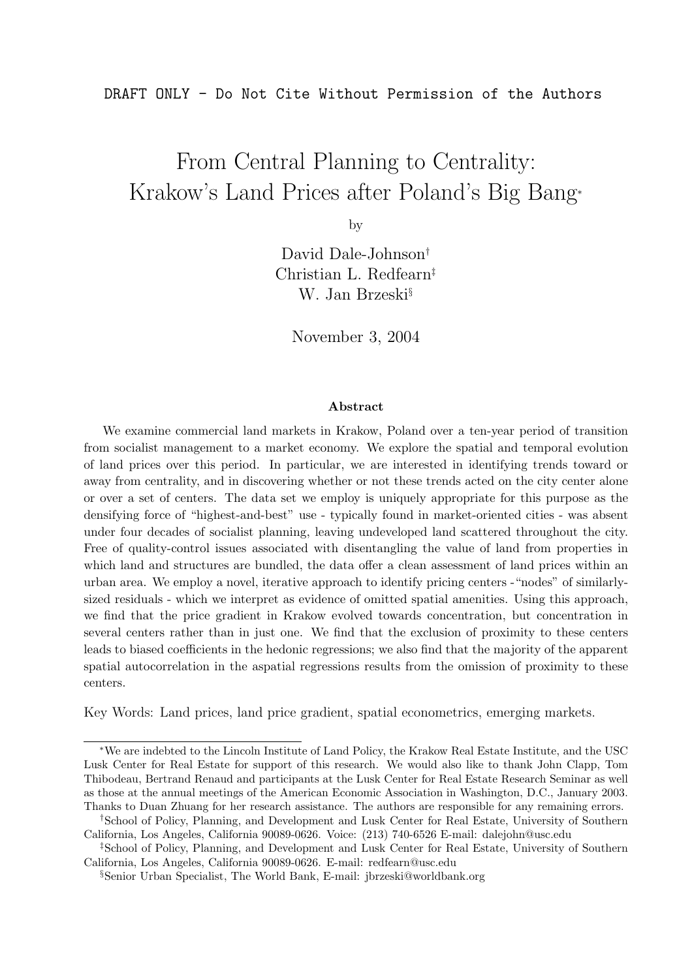#### DRAFT ONLY - Do Not Cite Without Permission of the Authors

# From Central Planning to Centrality: Krakow's Land Prices after Poland's Big Bang<sup>∗</sup>

by

David Dale-Johnson† Christian L. Redfearn‡ W. Jan Brzeski§

November 3, 2004

#### Abstract

We examine commercial land markets in Krakow, Poland over a ten-year period of transition from socialist management to a market economy. We explore the spatial and temporal evolution of land prices over this period. In particular, we are interested in identifying trends toward or away from centrality, and in discovering whether or not these trends acted on the city center alone or over a set of centers. The data set we employ is uniquely appropriate for this purpose as the densifying force of "highest-and-best" use - typically found in market-oriented cities - was absent under four decades of socialist planning, leaving undeveloped land scattered throughout the city. Free of quality-control issues associated with disentangling the value of land from properties in which land and structures are bundled, the data offer a clean assessment of land prices within an urban area. We employ a novel, iterative approach to identify pricing centers -"nodes" of similarlysized residuals - which we interpret as evidence of omitted spatial amenities. Using this approach, we find that the price gradient in Krakow evolved towards concentration, but concentration in several centers rather than in just one. We find that the exclusion of proximity to these centers leads to biased coefficients in the hedonic regressions; we also find that the majority of the apparent spatial autocorrelation in the aspatial regressions results from the omission of proximity to these centers.

Key Words: Land prices, land price gradient, spatial econometrics, emerging markets.

<sup>∗</sup>We are indebted to the Lincoln Institute of Land Policy, the Krakow Real Estate Institute, and the USC Lusk Center for Real Estate for support of this research. We would also like to thank John Clapp, Tom Thibodeau, Bertrand Renaud and participants at the Lusk Center for Real Estate Research Seminar as well as those at the annual meetings of the American Economic Association in Washington, D.C., January 2003. Thanks to Duan Zhuang for her research assistance. The authors are responsible for any remaining errors.

<sup>†</sup>School of Policy, Planning, and Development and Lusk Center for Real Estate, University of Southern California, Los Angeles, California 90089-0626. Voice: (213) 740-6526 E-mail: dalejohn@usc.edu

<sup>‡</sup>School of Policy, Planning, and Development and Lusk Center for Real Estate, University of Southern California, Los Angeles, California 90089-0626. E-mail: redfearn@usc.edu

<sup>§</sup>Senior Urban Specialist, The World Bank, E-mail: jbrzeski@worldbank.org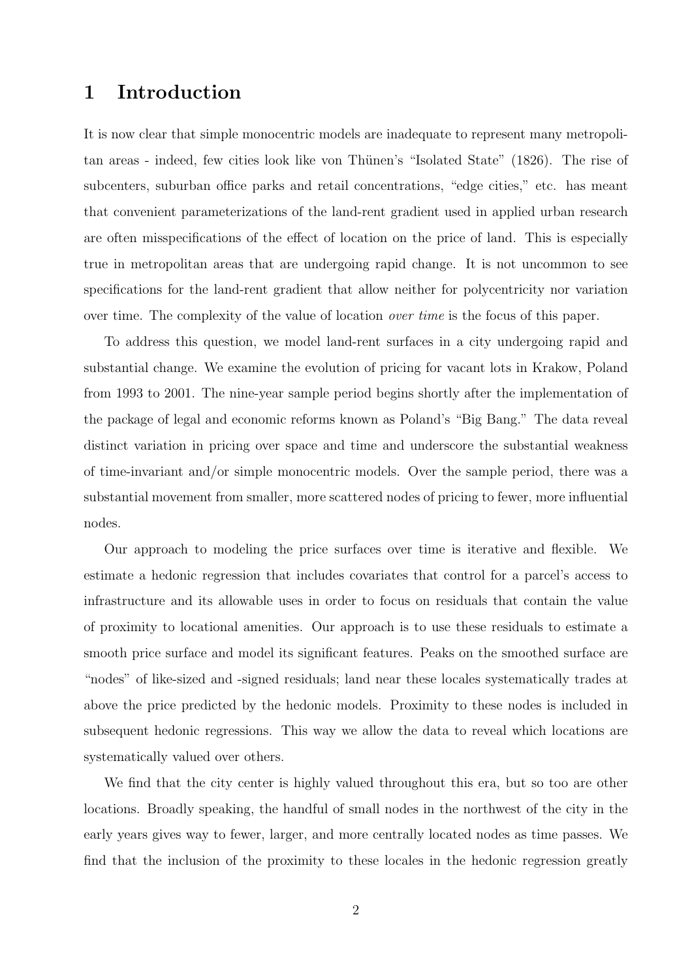#### 1 Introduction

It is now clear that simple monocentric models are inadequate to represent many metropolitan areas - indeed, few cities look like von Thünen's "Isolated State" (1826). The rise of subcenters, suburban office parks and retail concentrations, "edge cities," etc. has meant that convenient parameterizations of the land-rent gradient used in applied urban research are often misspecifications of the effect of location on the price of land. This is especially true in metropolitan areas that are undergoing rapid change. It is not uncommon to see specifications for the land-rent gradient that allow neither for polycentricity nor variation over time. The complexity of the value of location *over time* is the focus of this paper.

To address this question, we model land-rent surfaces in a city undergoing rapid and substantial change. We examine the evolution of pricing for vacant lots in Krakow, Poland from 1993 to 2001. The nine-year sample period begins shortly after the implementation of the package of legal and economic reforms known as Poland's "Big Bang." The data reveal distinct variation in pricing over space and time and underscore the substantial weakness of time-invariant and/or simple monocentric models. Over the sample period, there was a substantial movement from smaller, more scattered nodes of pricing to fewer, more influential nodes.

Our approach to modeling the price surfaces over time is iterative and flexible. We estimate a hedonic regression that includes covariates that control for a parcel's access to infrastructure and its allowable uses in order to focus on residuals that contain the value of proximity to locational amenities. Our approach is to use these residuals to estimate a smooth price surface and model its significant features. Peaks on the smoothed surface are "nodes" of like-sized and -signed residuals; land near these locales systematically trades at above the price predicted by the hedonic models. Proximity to these nodes is included in subsequent hedonic regressions. This way we allow the data to reveal which locations are systematically valued over others.

We find that the city center is highly valued throughout this era, but so too are other locations. Broadly speaking, the handful of small nodes in the northwest of the city in the early years gives way to fewer, larger, and more centrally located nodes as time passes. We find that the inclusion of the proximity to these locales in the hedonic regression greatly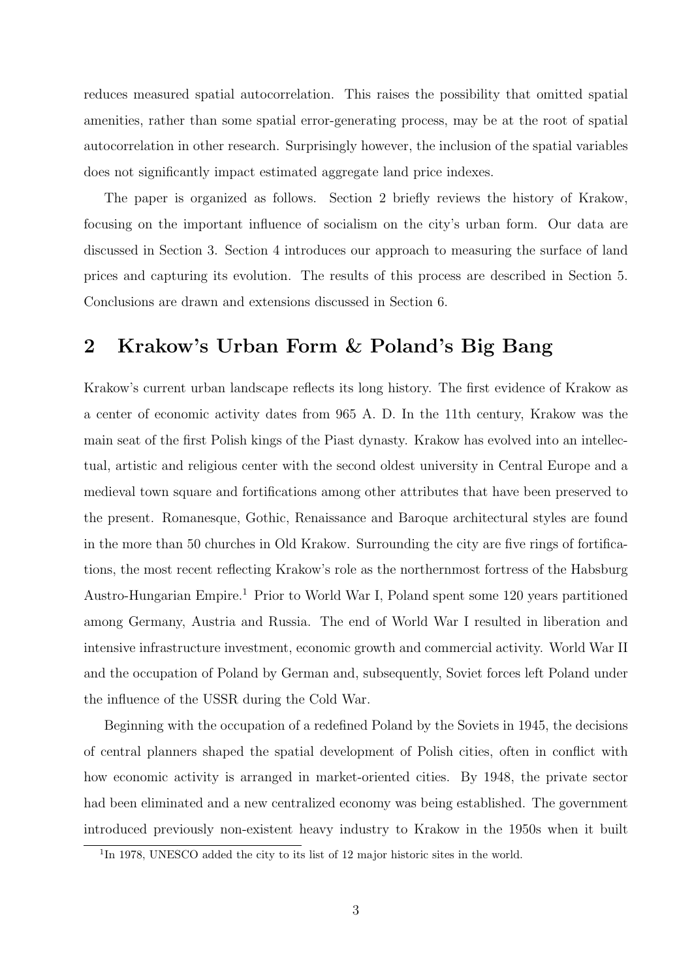reduces measured spatial autocorrelation. This raises the possibility that omitted spatial amenities, rather than some spatial error-generating process, may be at the root of spatial autocorrelation in other research. Surprisingly however, the inclusion of the spatial variables does not significantly impact estimated aggregate land price indexes.

The paper is organized as follows. Section 2 briefly reviews the history of Krakow, focusing on the important influence of socialism on the city's urban form. Our data are discussed in Section 3. Section 4 introduces our approach to measuring the surface of land prices and capturing its evolution. The results of this process are described in Section 5. Conclusions are drawn and extensions discussed in Section 6.

# 2 Krakow's Urban Form & Poland's Big Bang

Krakow's current urban landscape reflects its long history. The first evidence of Krakow as a center of economic activity dates from 965 A. D. In the 11th century, Krakow was the main seat of the first Polish kings of the Piast dynasty. Krakow has evolved into an intellectual, artistic and religious center with the second oldest university in Central Europe and a medieval town square and fortifications among other attributes that have been preserved to the present. Romanesque, Gothic, Renaissance and Baroque architectural styles are found in the more than 50 churches in Old Krakow. Surrounding the city are five rings of fortifications, the most recent reflecting Krakow's role as the northernmost fortress of the Habsburg Austro-Hungarian Empire.<sup>1</sup> Prior to World War I, Poland spent some 120 years partitioned among Germany, Austria and Russia. The end of World War I resulted in liberation and intensive infrastructure investment, economic growth and commercial activity. World War II and the occupation of Poland by German and, subsequently, Soviet forces left Poland under the influence of the USSR during the Cold War.

Beginning with the occupation of a redefined Poland by the Soviets in 1945, the decisions of central planners shaped the spatial development of Polish cities, often in conflict with how economic activity is arranged in market-oriented cities. By 1948, the private sector had been eliminated and a new centralized economy was being established. The government introduced previously non-existent heavy industry to Krakow in the 1950s when it built

<sup>&</sup>lt;sup>1</sup>In 1978, UNESCO added the city to its list of 12 major historic sites in the world.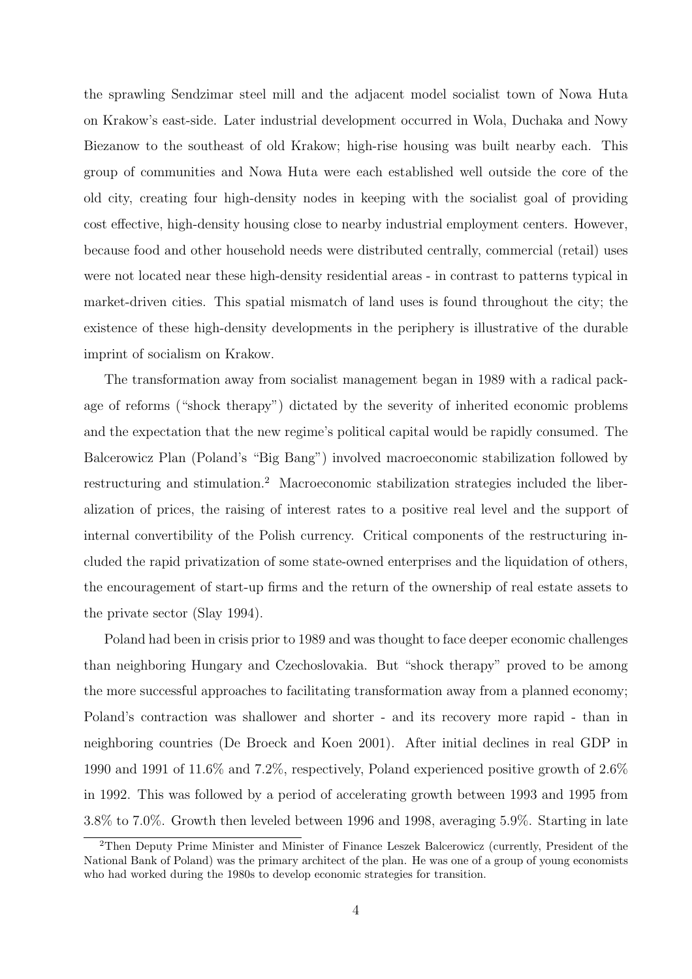the sprawling Sendzimar steel mill and the adjacent model socialist town of Nowa Huta on Krakow's east-side. Later industrial development occurred in Wola, Duchaka and Nowy Biezanow to the southeast of old Krakow; high-rise housing was built nearby each. This group of communities and Nowa Huta were each established well outside the core of the old city, creating four high-density nodes in keeping with the socialist goal of providing cost effective, high-density housing close to nearby industrial employment centers. However, because food and other household needs were distributed centrally, commercial (retail) uses were not located near these high-density residential areas - in contrast to patterns typical in market-driven cities. This spatial mismatch of land uses is found throughout the city; the existence of these high-density developments in the periphery is illustrative of the durable imprint of socialism on Krakow.

The transformation away from socialist management began in 1989 with a radical package of reforms ("shock therapy") dictated by the severity of inherited economic problems and the expectation that the new regime's political capital would be rapidly consumed. The Balcerowicz Plan (Poland's "Big Bang") involved macroeconomic stabilization followed by restructuring and stimulation.<sup>2</sup> Macroeconomic stabilization strategies included the liberalization of prices, the raising of interest rates to a positive real level and the support of internal convertibility of the Polish currency. Critical components of the restructuring included the rapid privatization of some state-owned enterprises and the liquidation of others, the encouragement of start-up firms and the return of the ownership of real estate assets to the private sector (Slay 1994).

Poland had been in crisis prior to 1989 and was thought to face deeper economic challenges than neighboring Hungary and Czechoslovakia. But "shock therapy" proved to be among the more successful approaches to facilitating transformation away from a planned economy; Poland's contraction was shallower and shorter - and its recovery more rapid - than in neighboring countries (De Broeck and Koen 2001). After initial declines in real GDP in 1990 and 1991 of 11.6% and 7.2%, respectively, Poland experienced positive growth of 2.6% in 1992. This was followed by a period of accelerating growth between 1993 and 1995 from 3.8% to 7.0%. Growth then leveled between 1996 and 1998, averaging 5.9%. Starting in late

<sup>2</sup>Then Deputy Prime Minister and Minister of Finance Leszek Balcerowicz (currently, President of the National Bank of Poland) was the primary architect of the plan. He was one of a group of young economists who had worked during the 1980s to develop economic strategies for transition.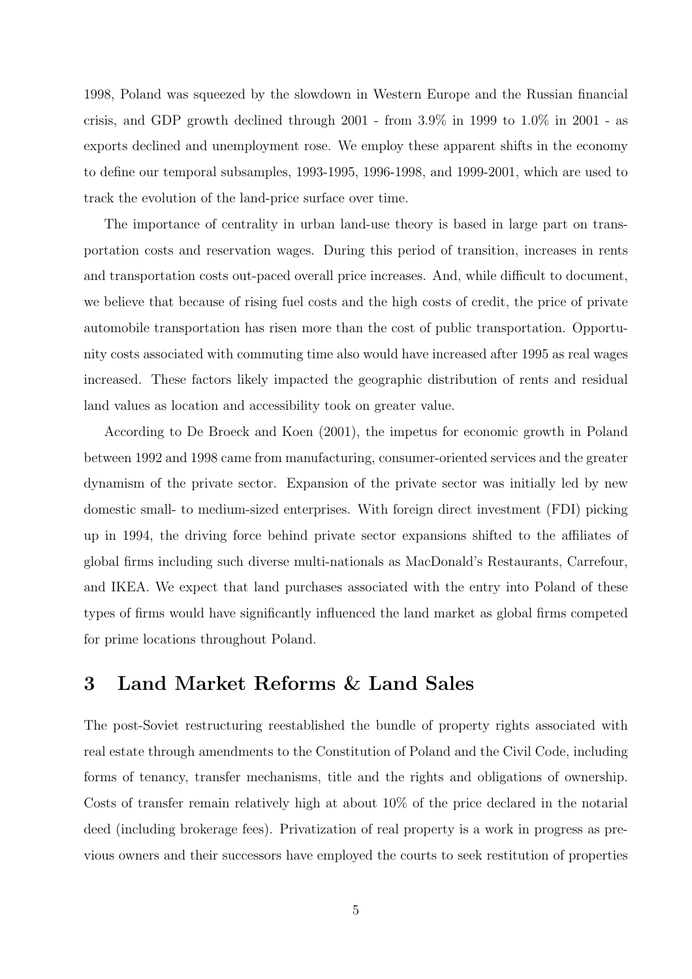1998, Poland was squeezed by the slowdown in Western Europe and the Russian financial crisis, and GDP growth declined through 2001 - from 3.9% in 1999 to 1.0% in 2001 - as exports declined and unemployment rose. We employ these apparent shifts in the economy to define our temporal subsamples, 1993-1995, 1996-1998, and 1999-2001, which are used to track the evolution of the land-price surface over time.

The importance of centrality in urban land-use theory is based in large part on transportation costs and reservation wages. During this period of transition, increases in rents and transportation costs out-paced overall price increases. And, while difficult to document, we believe that because of rising fuel costs and the high costs of credit, the price of private automobile transportation has risen more than the cost of public transportation. Opportunity costs associated with commuting time also would have increased after 1995 as real wages increased. These factors likely impacted the geographic distribution of rents and residual land values as location and accessibility took on greater value.

According to De Broeck and Koen (2001), the impetus for economic growth in Poland between 1992 and 1998 came from manufacturing, consumer-oriented services and the greater dynamism of the private sector. Expansion of the private sector was initially led by new domestic small- to medium-sized enterprises. With foreign direct investment (FDI) picking up in 1994, the driving force behind private sector expansions shifted to the affiliates of global firms including such diverse multi-nationals as MacDonald's Restaurants, Carrefour, and IKEA. We expect that land purchases associated with the entry into Poland of these types of firms would have significantly influenced the land market as global firms competed for prime locations throughout Poland.

# 3 Land Market Reforms & Land Sales

The post-Soviet restructuring reestablished the bundle of property rights associated with real estate through amendments to the Constitution of Poland and the Civil Code, including forms of tenancy, transfer mechanisms, title and the rights and obligations of ownership. Costs of transfer remain relatively high at about 10% of the price declared in the notarial deed (including brokerage fees). Privatization of real property is a work in progress as previous owners and their successors have employed the courts to seek restitution of properties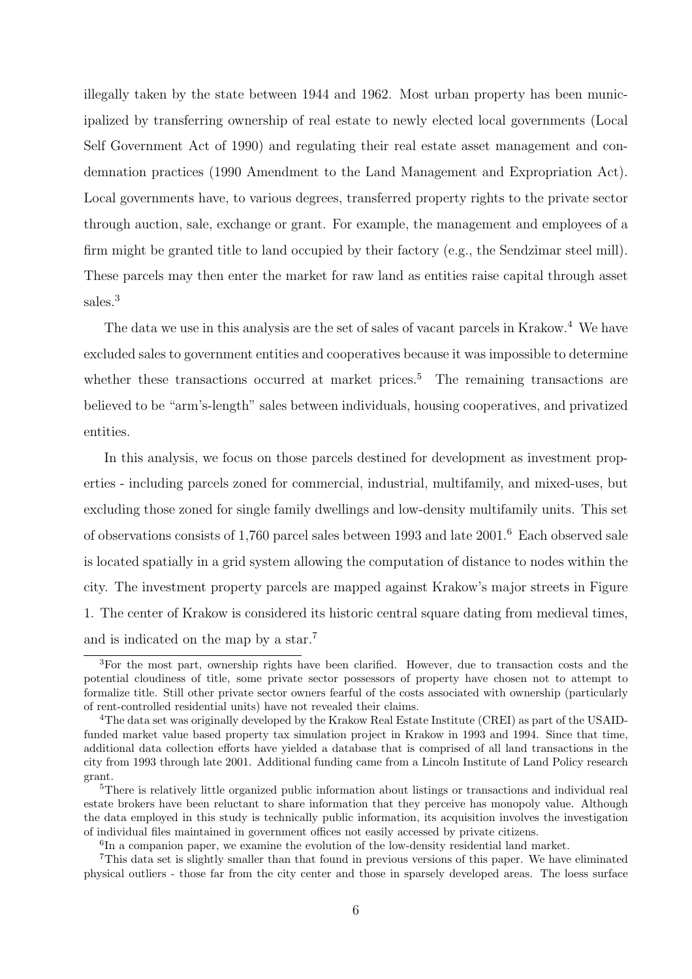illegally taken by the state between 1944 and 1962. Most urban property has been municipalized by transferring ownership of real estate to newly elected local governments (Local Self Government Act of 1990) and regulating their real estate asset management and condemnation practices (1990 Amendment to the Land Management and Expropriation Act). Local governments have, to various degrees, transferred property rights to the private sector through auction, sale, exchange or grant. For example, the management and employees of a firm might be granted title to land occupied by their factory (e.g., the Sendzimar steel mill). These parcels may then enter the market for raw land as entities raise capital through asset sales.<sup>3</sup>

The data we use in this analysis are the set of sales of vacant parcels in Krakow.<sup>4</sup> We have excluded sales to government entities and cooperatives because it was impossible to determine whether these transactions occurred at market prices.<sup>5</sup> The remaining transactions are believed to be "arm's-length" sales between individuals, housing cooperatives, and privatized entities.

In this analysis, we focus on those parcels destined for development as investment properties - including parcels zoned for commercial, industrial, multifamily, and mixed-uses, but excluding those zoned for single family dwellings and low-density multifamily units. This set of observations consists of 1,760 parcel sales between 1993 and late 2001.<sup>6</sup> Each observed sale is located spatially in a grid system allowing the computation of distance to nodes within the city. The investment property parcels are mapped against Krakow's major streets in Figure 1. The center of Krakow is considered its historic central square dating from medieval times, and is indicated on the map by a star.<sup>7</sup>

<sup>3</sup>For the most part, ownership rights have been clarified. However, due to transaction costs and the potential cloudiness of title, some private sector possessors of property have chosen not to attempt to formalize title. Still other private sector owners fearful of the costs associated with ownership (particularly of rent-controlled residential units) have not revealed their claims.

<sup>&</sup>lt;sup>4</sup>The data set was originally developed by the Krakow Real Estate Institute (CREI) as part of the USAIDfunded market value based property tax simulation project in Krakow in 1993 and 1994. Since that time, additional data collection efforts have yielded a database that is comprised of all land transactions in the city from 1993 through late 2001. Additional funding came from a Lincoln Institute of Land Policy research grant.

<sup>5</sup>There is relatively little organized public information about listings or transactions and individual real estate brokers have been reluctant to share information that they perceive has monopoly value. Although the data employed in this study is technically public information, its acquisition involves the investigation of individual files maintained in government offices not easily accessed by private citizens.

<sup>&</sup>lt;sup>6</sup>In a companion paper, we examine the evolution of the low-density residential land market.

<sup>7</sup>This data set is slightly smaller than that found in previous versions of this paper. We have eliminated physical outliers - those far from the city center and those in sparsely developed areas. The loess surface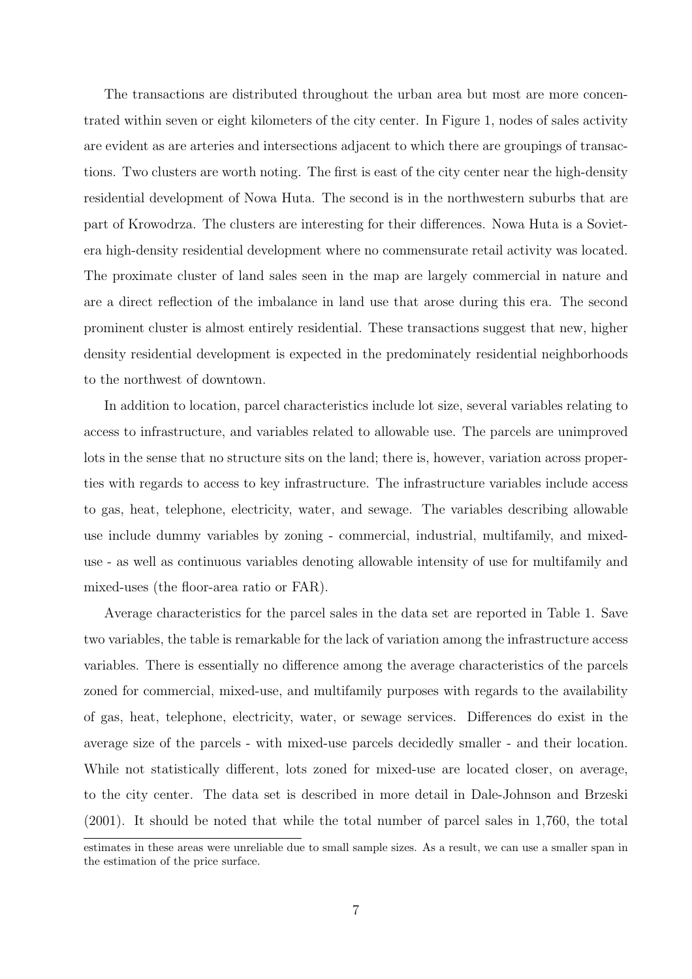The transactions are distributed throughout the urban area but most are more concentrated within seven or eight kilometers of the city center. In Figure 1, nodes of sales activity are evident as are arteries and intersections adjacent to which there are groupings of transactions. Two clusters are worth noting. The first is east of the city center near the high-density residential development of Nowa Huta. The second is in the northwestern suburbs that are part of Krowodrza. The clusters are interesting for their differences. Nowa Huta is a Sovietera high-density residential development where no commensurate retail activity was located. The proximate cluster of land sales seen in the map are largely commercial in nature and are a direct reflection of the imbalance in land use that arose during this era. The second prominent cluster is almost entirely residential. These transactions suggest that new, higher density residential development is expected in the predominately residential neighborhoods to the northwest of downtown.

In addition to location, parcel characteristics include lot size, several variables relating to access to infrastructure, and variables related to allowable use. The parcels are unimproved lots in the sense that no structure sits on the land; there is, however, variation across properties with regards to access to key infrastructure. The infrastructure variables include access to gas, heat, telephone, electricity, water, and sewage. The variables describing allowable use include dummy variables by zoning - commercial, industrial, multifamily, and mixeduse - as well as continuous variables denoting allowable intensity of use for multifamily and mixed-uses (the floor-area ratio or FAR).

Average characteristics for the parcel sales in the data set are reported in Table 1. Save two variables, the table is remarkable for the lack of variation among the infrastructure access variables. There is essentially no difference among the average characteristics of the parcels zoned for commercial, mixed-use, and multifamily purposes with regards to the availability of gas, heat, telephone, electricity, water, or sewage services. Differences do exist in the average size of the parcels - with mixed-use parcels decidedly smaller - and their location. While not statistically different, lots zoned for mixed-use are located closer, on average, to the city center. The data set is described in more detail in Dale-Johnson and Brzeski (2001). It should be noted that while the total number of parcel sales in 1,760, the total

estimates in these areas were unreliable due to small sample sizes. As a result, we can use a smaller span in the estimation of the price surface.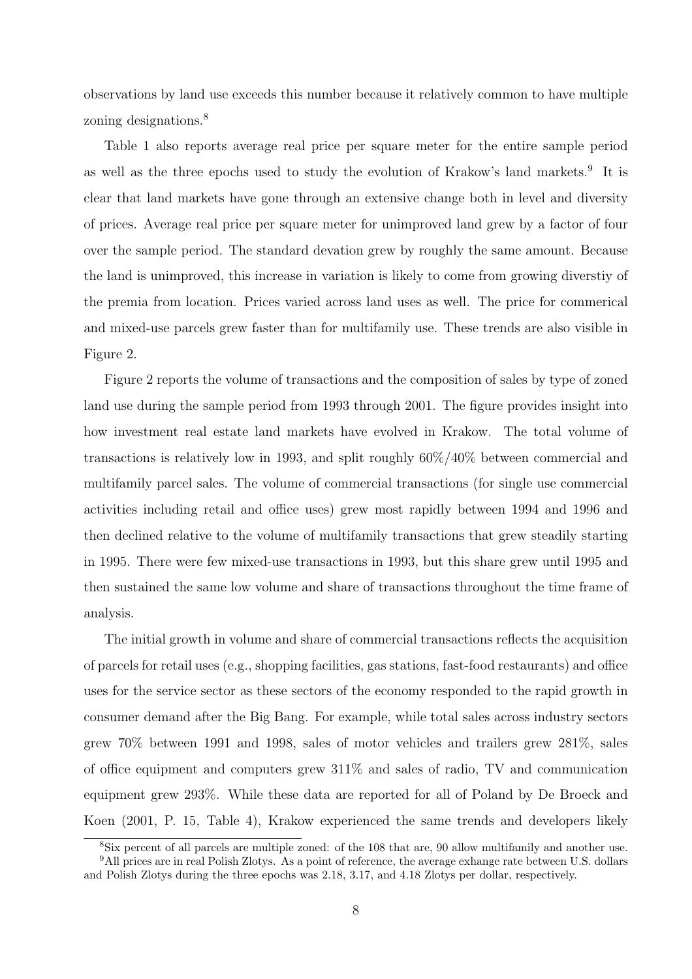observations by land use exceeds this number because it relatively common to have multiple zoning designations.<sup>8</sup>

Table 1 also reports average real price per square meter for the entire sample period as well as the three epochs used to study the evolution of Krakow's land markets.<sup>9</sup> It is clear that land markets have gone through an extensive change both in level and diversity of prices. Average real price per square meter for unimproved land grew by a factor of four over the sample period. The standard devation grew by roughly the same amount. Because the land is unimproved, this increase in variation is likely to come from growing diverstiy of the premia from location. Prices varied across land uses as well. The price for commerical and mixed-use parcels grew faster than for multifamily use. These trends are also visible in Figure 2.

Figure 2 reports the volume of transactions and the composition of sales by type of zoned land use during the sample period from 1993 through 2001. The figure provides insight into how investment real estate land markets have evolved in Krakow. The total volume of transactions is relatively low in 1993, and split roughly 60%/40% between commercial and multifamily parcel sales. The volume of commercial transactions (for single use commercial activities including retail and office uses) grew most rapidly between 1994 and 1996 and then declined relative to the volume of multifamily transactions that grew steadily starting in 1995. There were few mixed-use transactions in 1993, but this share grew until 1995 and then sustained the same low volume and share of transactions throughout the time frame of analysis.

The initial growth in volume and share of commercial transactions reflects the acquisition of parcels for retail uses (e.g., shopping facilities, gas stations, fast-food restaurants) and office uses for the service sector as these sectors of the economy responded to the rapid growth in consumer demand after the Big Bang. For example, while total sales across industry sectors grew 70% between 1991 and 1998, sales of motor vehicles and trailers grew 281%, sales of office equipment and computers grew 311% and sales of radio, TV and communication equipment grew 293%. While these data are reported for all of Poland by De Broeck and Koen (2001, P. 15, Table 4), Krakow experienced the same trends and developers likely

<sup>8</sup>Six percent of all parcels are multiple zoned: of the 108 that are, 90 allow multifamily and another use.

<sup>9</sup>All prices are in real Polish Zlotys. As a point of reference, the average exhange rate between U.S. dollars and Polish Zlotys during the three epochs was 2.18, 3.17, and 4.18 Zlotys per dollar, respectively.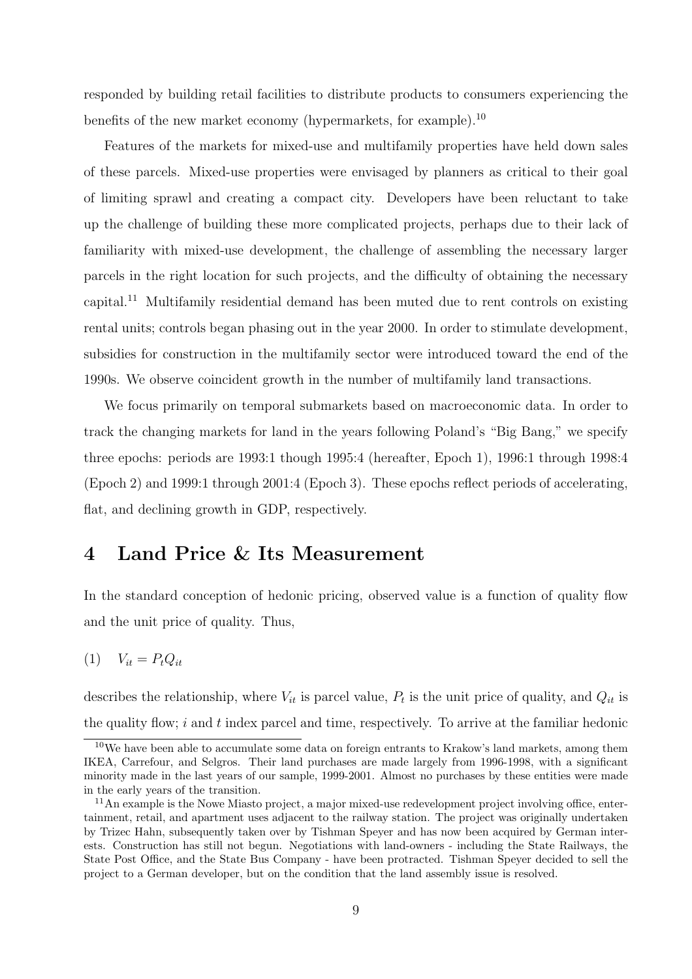responded by building retail facilities to distribute products to consumers experiencing the benefits of the new market economy (hypermarkets, for example).<sup>10</sup>

Features of the markets for mixed-use and multifamily properties have held down sales of these parcels. Mixed-use properties were envisaged by planners as critical to their goal of limiting sprawl and creating a compact city. Developers have been reluctant to take up the challenge of building these more complicated projects, perhaps due to their lack of familiarity with mixed-use development, the challenge of assembling the necessary larger parcels in the right location for such projects, and the difficulty of obtaining the necessary capital.<sup>11</sup> Multifamily residential demand has been muted due to rent controls on existing rental units; controls began phasing out in the year 2000. In order to stimulate development, subsidies for construction in the multifamily sector were introduced toward the end of the 1990s. We observe coincident growth in the number of multifamily land transactions.

We focus primarily on temporal submarkets based on macroeconomic data. In order to track the changing markets for land in the years following Poland's "Big Bang," we specify three epochs: periods are 1993:1 though 1995:4 (hereafter, Epoch 1), 1996:1 through 1998:4 (Epoch 2) and 1999:1 through 2001:4 (Epoch 3). These epochs reflect periods of accelerating, flat, and declining growth in GDP, respectively.

## 4 Land Price & Its Measurement

In the standard conception of hedonic pricing, observed value is a function of quality flow and the unit price of quality. Thus,

$$
(1) \quad V_{it} = P_t Q_{it}
$$

describes the relationship, where  $V_{it}$  is parcel value,  $P_t$  is the unit price of quality, and  $Q_{it}$  is the quality flow;  $i$  and  $t$  index parcel and time, respectively. To arrive at the familiar hedonic

 $10$ We have been able to accumulate some data on foreign entrants to Krakow's land markets, among them IKEA, Carrefour, and Selgros. Their land purchases are made largely from 1996-1998, with a significant minority made in the last years of our sample, 1999-2001. Almost no purchases by these entities were made in the early years of the transition.

<sup>&</sup>lt;sup>11</sup>An example is the Nowe Miasto project, a major mixed-use redevelopment project involving office, entertainment, retail, and apartment uses adjacent to the railway station. The project was originally undertaken by Trizec Hahn, subsequently taken over by Tishman Speyer and has now been acquired by German interests. Construction has still not begun. Negotiations with land-owners - including the State Railways, the State Post Office, and the State Bus Company - have been protracted. Tishman Speyer decided to sell the project to a German developer, but on the condition that the land assembly issue is resolved.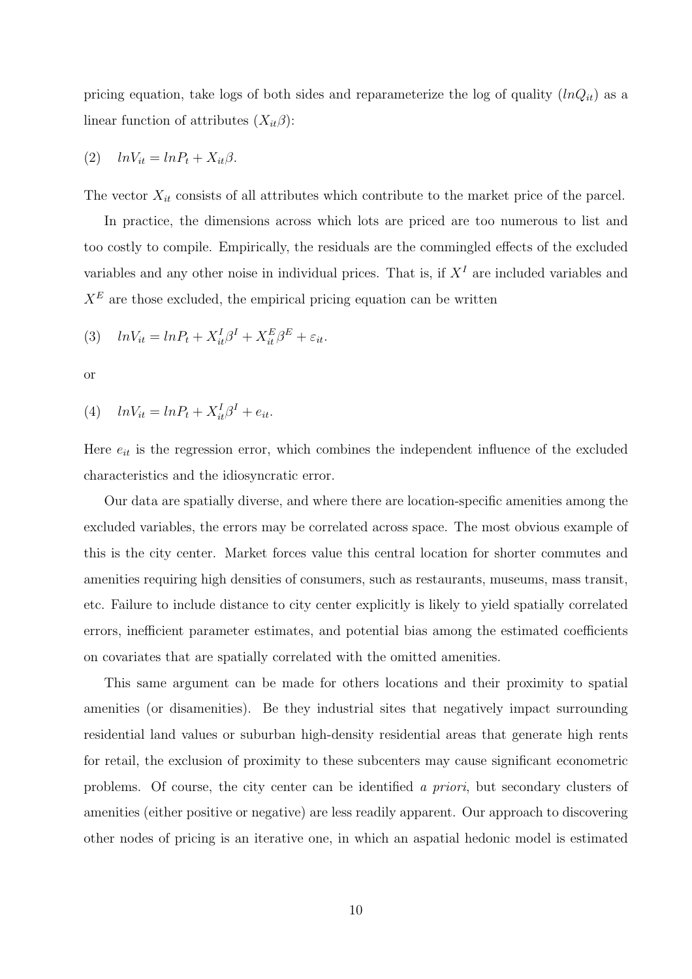pricing equation, take logs of both sides and reparameterize the log of quality  $(lnQ_{it})$  as a linear function of attributes  $(X_{it}\beta)$ :

$$
(2) \quad lnV_{it} = lnP_t + X_{it}\beta.
$$

The vector  $X_{it}$  consists of all attributes which contribute to the market price of the parcel.

In practice, the dimensions across which lots are priced are too numerous to list and too costly to compile. Empirically, the residuals are the commingled effects of the excluded variables and any other noise in individual prices. That is, if  $X<sup>I</sup>$  are included variables and  $X^E$  are those excluded, the empirical pricing equation can be written

$$
(3) \quad lnV_{it} = lnP_t + X_{it}^I \beta^I + X_{it}^E \beta^E + \varepsilon_{it}.
$$

or

(4) 
$$
ln V_{it} = ln P_t + X_{it}^I \beta^I + e_{it}.
$$

Here  $e_{it}$  is the regression error, which combines the independent influence of the excluded characteristics and the idiosyncratic error.

Our data are spatially diverse, and where there are location-specific amenities among the excluded variables, the errors may be correlated across space. The most obvious example of this is the city center. Market forces value this central location for shorter commutes and amenities requiring high densities of consumers, such as restaurants, museums, mass transit, etc. Failure to include distance to city center explicitly is likely to yield spatially correlated errors, inefficient parameter estimates, and potential bias among the estimated coefficients on covariates that are spatially correlated with the omitted amenities.

This same argument can be made for others locations and their proximity to spatial amenities (or disamenities). Be they industrial sites that negatively impact surrounding residential land values or suburban high-density residential areas that generate high rents for retail, the exclusion of proximity to these subcenters may cause significant econometric problems. Of course, the city center can be identified a priori, but secondary clusters of amenities (either positive or negative) are less readily apparent. Our approach to discovering other nodes of pricing is an iterative one, in which an aspatial hedonic model is estimated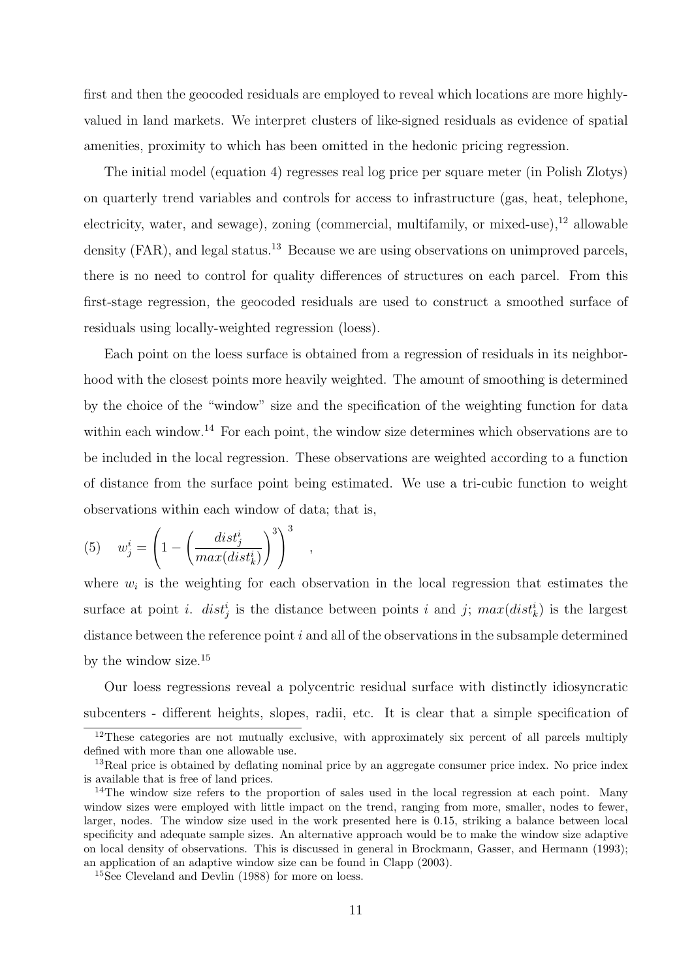first and then the geocoded residuals are employed to reveal which locations are more highlyvalued in land markets. We interpret clusters of like-signed residuals as evidence of spatial amenities, proximity to which has been omitted in the hedonic pricing regression.

The initial model (equation 4) regresses real log price per square meter (in Polish Zlotys) on quarterly trend variables and controls for access to infrastructure (gas, heat, telephone, electricity, water, and sewage), zoning (commercial, multifamily, or mixed-use), $^{12}$  allowable density  $(FAR)$ , and legal status.<sup>13</sup> Because we are using observations on unimproved parcels, there is no need to control for quality differences of structures on each parcel. From this first-stage regression, the geocoded residuals are used to construct a smoothed surface of residuals using locally-weighted regression (loess).

Each point on the loess surface is obtained from a regression of residuals in its neighborhood with the closest points more heavily weighted. The amount of smoothing is determined by the choice of the "window" size and the specification of the weighting function for data within each window.<sup>14</sup> For each point, the window size determines which observations are to be included in the local regression. These observations are weighted according to a function of distance from the surface point being estimated. We use a tri-cubic function to weight observations within each window of data; that is,

(5) 
$$
w_j^i = \left(1 - \left(\frac{dist_j^i}{max(dist_k^i)}\right)^3\right)^3 ,
$$

where  $w_i$  is the weighting for each observation in the local regression that estimates the surface at point *i*.  $dist_j^i$  is the distance between points *i* and *j*;  $max(dist_k^i)$  is the largest distance between the reference point  $i$  and all of the observations in the subsample determined by the window size.<sup>15</sup>

Our loess regressions reveal a polycentric residual surface with distinctly idiosyncratic subcenters - different heights, slopes, radii, etc. It is clear that a simple specification of

<sup>&</sup>lt;sup>12</sup>These categories are not mutually exclusive, with approximately six percent of all parcels multiply defined with more than one allowable use.

<sup>&</sup>lt;sup>13</sup>Real price is obtained by deflating nominal price by an aggregate consumer price index. No price index is available that is free of land prices.

<sup>&</sup>lt;sup>14</sup>The window size refers to the proportion of sales used in the local regression at each point. Many window sizes were employed with little impact on the trend, ranging from more, smaller, nodes to fewer, larger, nodes. The window size used in the work presented here is 0.15, striking a balance between local specificity and adequate sample sizes. An alternative approach would be to make the window size adaptive on local density of observations. This is discussed in general in Brockmann, Gasser, and Hermann (1993); an application of an adaptive window size can be found in Clapp (2003).

<sup>15</sup>See Cleveland and Devlin (1988) for more on loess.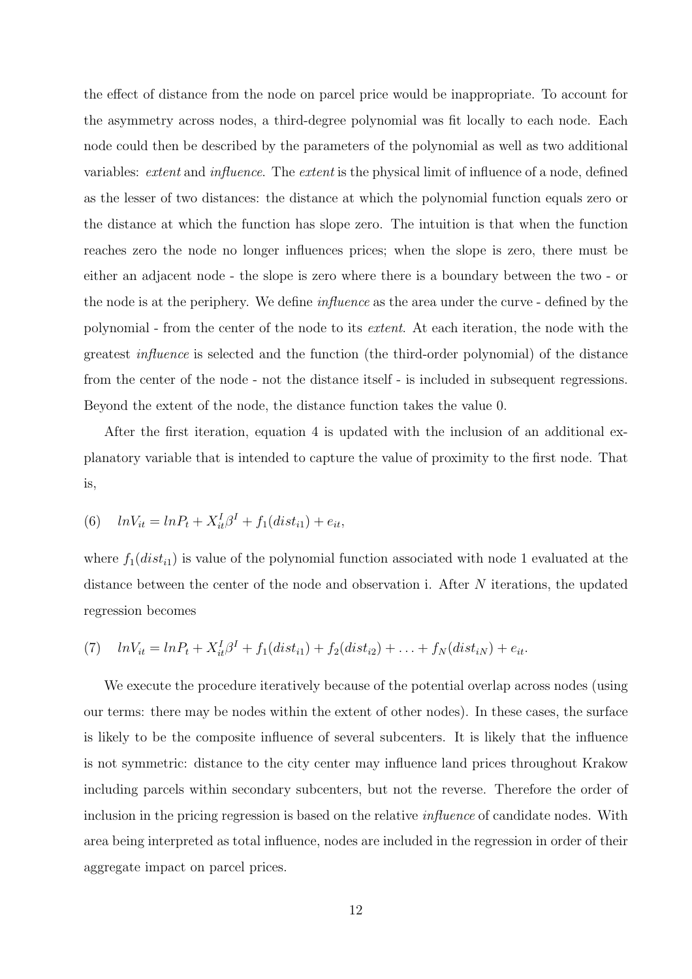the effect of distance from the node on parcel price would be inappropriate. To account for the asymmetry across nodes, a third-degree polynomial was fit locally to each node. Each node could then be described by the parameters of the polynomial as well as two additional variables: extent and influence. The extent is the physical limit of influence of a node, defined as the lesser of two distances: the distance at which the polynomial function equals zero or the distance at which the function has slope zero. The intuition is that when the function reaches zero the node no longer influences prices; when the slope is zero, there must be either an adjacent node - the slope is zero where there is a boundary between the two - or the node is at the periphery. We define influence as the area under the curve - defined by the polynomial - from the center of the node to its extent. At each iteration, the node with the greatest influence is selected and the function (the third-order polynomial) of the distance from the center of the node - not the distance itself - is included in subsequent regressions. Beyond the extent of the node, the distance function takes the value 0.

After the first iteration, equation 4 is updated with the inclusion of an additional explanatory variable that is intended to capture the value of proximity to the first node. That is,

(6) 
$$
ln V_{it} = ln P_t + X_{it}^I \beta^I + f_1 (dist_{i1}) + e_{it},
$$

where  $f_1(dist_{i1})$  is value of the polynomial function associated with node 1 evaluated at the distance between the center of the node and observation i. After N iterations, the updated regression becomes

(7) 
$$
ln V_{it} = ln P_t + X_{it}^I \beta^I + f_1(dist_{i1}) + f_2(dist_{i2}) + ... + f_N(dist_{iN}) + e_{it}.
$$

We execute the procedure iteratively because of the potential overlap across nodes (using our terms: there may be nodes within the extent of other nodes). In these cases, the surface is likely to be the composite influence of several subcenters. It is likely that the influence is not symmetric: distance to the city center may influence land prices throughout Krakow including parcels within secondary subcenters, but not the reverse. Therefore the order of inclusion in the pricing regression is based on the relative *influence* of candidate nodes. With area being interpreted as total influence, nodes are included in the regression in order of their aggregate impact on parcel prices.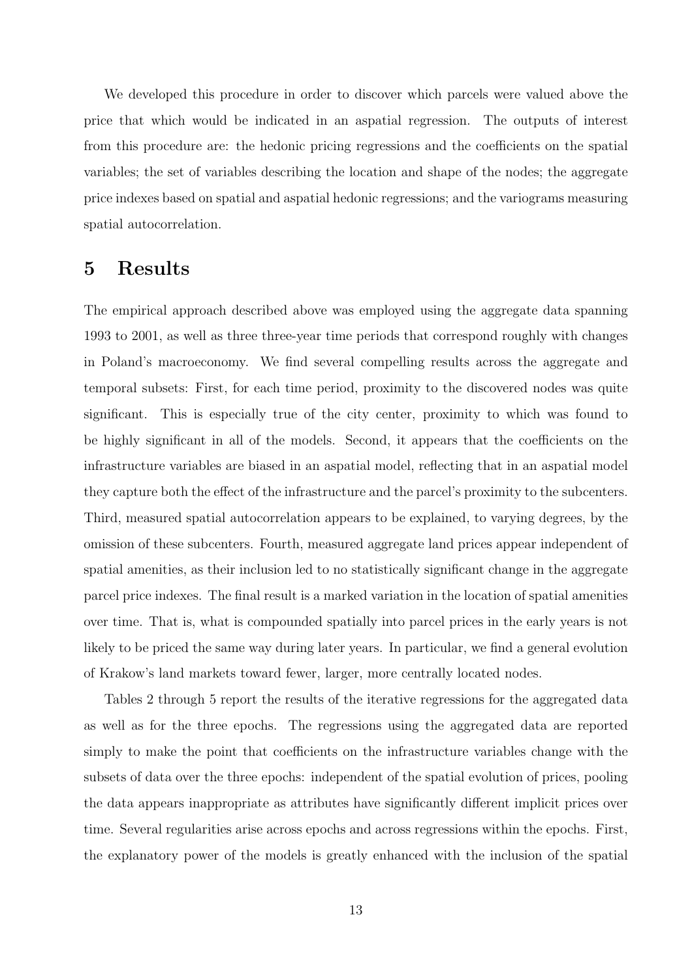We developed this procedure in order to discover which parcels were valued above the price that which would be indicated in an aspatial regression. The outputs of interest from this procedure are: the hedonic pricing regressions and the coefficients on the spatial variables; the set of variables describing the location and shape of the nodes; the aggregate price indexes based on spatial and aspatial hedonic regressions; and the variograms measuring spatial autocorrelation.

# 5 Results

The empirical approach described above was employed using the aggregate data spanning 1993 to 2001, as well as three three-year time periods that correspond roughly with changes in Poland's macroeconomy. We find several compelling results across the aggregate and temporal subsets: First, for each time period, proximity to the discovered nodes was quite significant. This is especially true of the city center, proximity to which was found to be highly significant in all of the models. Second, it appears that the coefficients on the infrastructure variables are biased in an aspatial model, reflecting that in an aspatial model they capture both the effect of the infrastructure and the parcel's proximity to the subcenters. Third, measured spatial autocorrelation appears to be explained, to varying degrees, by the omission of these subcenters. Fourth, measured aggregate land prices appear independent of spatial amenities, as their inclusion led to no statistically significant change in the aggregate parcel price indexes. The final result is a marked variation in the location of spatial amenities over time. That is, what is compounded spatially into parcel prices in the early years is not likely to be priced the same way during later years. In particular, we find a general evolution of Krakow's land markets toward fewer, larger, more centrally located nodes.

Tables 2 through 5 report the results of the iterative regressions for the aggregated data as well as for the three epochs. The regressions using the aggregated data are reported simply to make the point that coefficients on the infrastructure variables change with the subsets of data over the three epochs: independent of the spatial evolution of prices, pooling the data appears inappropriate as attributes have significantly different implicit prices over time. Several regularities arise across epochs and across regressions within the epochs. First, the explanatory power of the models is greatly enhanced with the inclusion of the spatial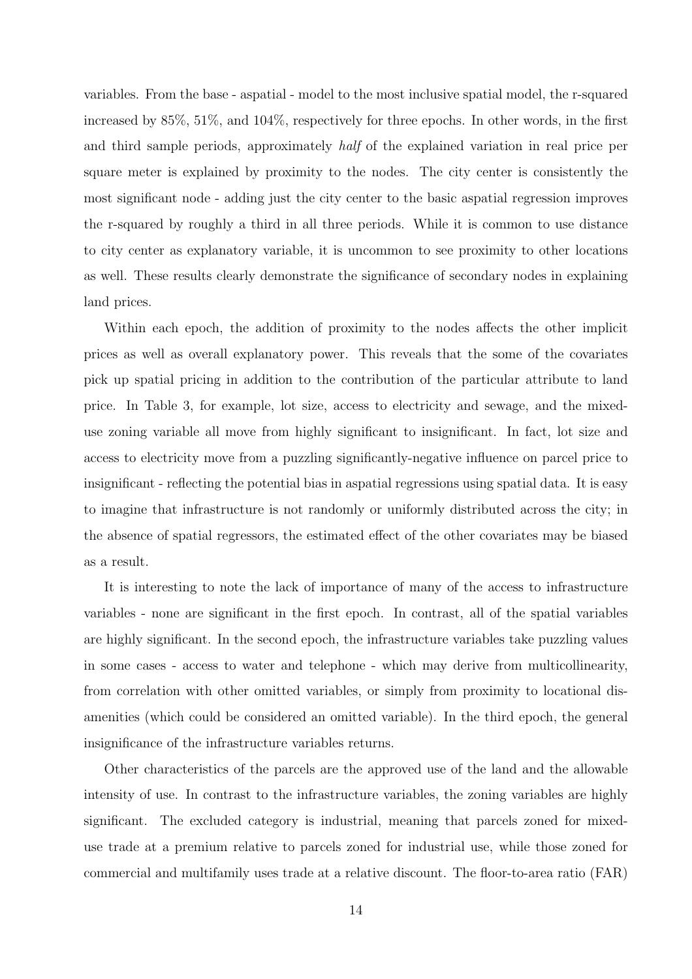variables. From the base - aspatial - model to the most inclusive spatial model, the r-squared increased by 85%, 51%, and 104%, respectively for three epochs. In other words, in the first and third sample periods, approximately half of the explained variation in real price per square meter is explained by proximity to the nodes. The city center is consistently the most significant node - adding just the city center to the basic aspatial regression improves the r-squared by roughly a third in all three periods. While it is common to use distance to city center as explanatory variable, it is uncommon to see proximity to other locations as well. These results clearly demonstrate the significance of secondary nodes in explaining land prices.

Within each epoch, the addition of proximity to the nodes affects the other implicit prices as well as overall explanatory power. This reveals that the some of the covariates pick up spatial pricing in addition to the contribution of the particular attribute to land price. In Table 3, for example, lot size, access to electricity and sewage, and the mixeduse zoning variable all move from highly significant to insignificant. In fact, lot size and access to electricity move from a puzzling significantly-negative influence on parcel price to insignificant - reflecting the potential bias in aspatial regressions using spatial data. It is easy to imagine that infrastructure is not randomly or uniformly distributed across the city; in the absence of spatial regressors, the estimated effect of the other covariates may be biased as a result.

It is interesting to note the lack of importance of many of the access to infrastructure variables - none are significant in the first epoch. In contrast, all of the spatial variables are highly significant. In the second epoch, the infrastructure variables take puzzling values in some cases - access to water and telephone - which may derive from multicollinearity, from correlation with other omitted variables, or simply from proximity to locational disamenities (which could be considered an omitted variable). In the third epoch, the general insignificance of the infrastructure variables returns.

Other characteristics of the parcels are the approved use of the land and the allowable intensity of use. In contrast to the infrastructure variables, the zoning variables are highly significant. The excluded category is industrial, meaning that parcels zoned for mixeduse trade at a premium relative to parcels zoned for industrial use, while those zoned for commercial and multifamily uses trade at a relative discount. The floor-to-area ratio (FAR)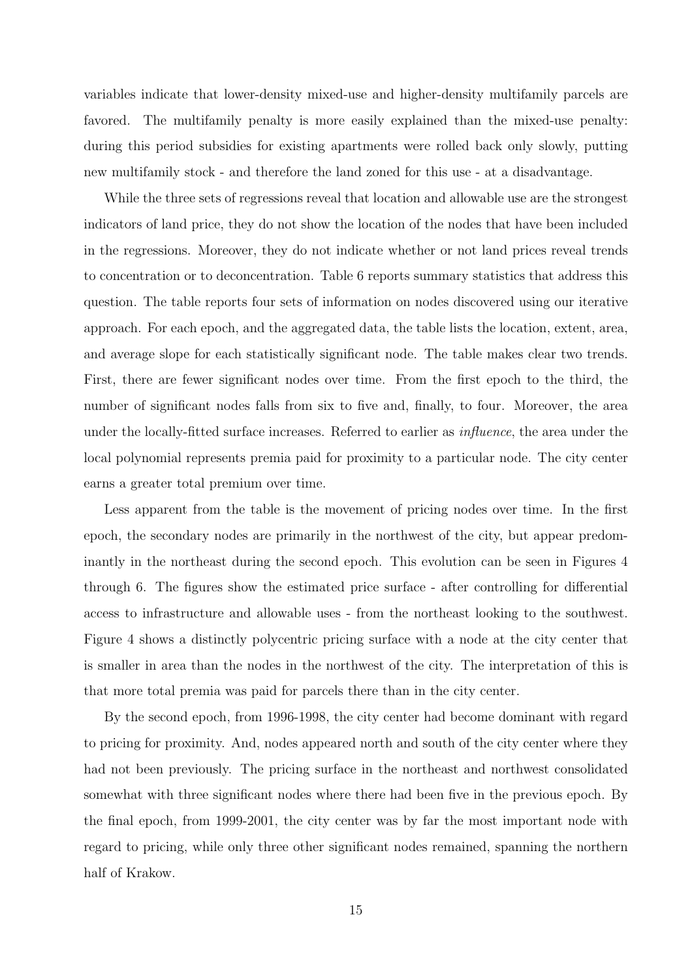variables indicate that lower-density mixed-use and higher-density multifamily parcels are favored. The multifamily penalty is more easily explained than the mixed-use penalty: during this period subsidies for existing apartments were rolled back only slowly, putting new multifamily stock - and therefore the land zoned for this use - at a disadvantage.

While the three sets of regressions reveal that location and allowable use are the strongest indicators of land price, they do not show the location of the nodes that have been included in the regressions. Moreover, they do not indicate whether or not land prices reveal trends to concentration or to deconcentration. Table 6 reports summary statistics that address this question. The table reports four sets of information on nodes discovered using our iterative approach. For each epoch, and the aggregated data, the table lists the location, extent, area, and average slope for each statistically significant node. The table makes clear two trends. First, there are fewer significant nodes over time. From the first epoch to the third, the number of significant nodes falls from six to five and, finally, to four. Moreover, the area under the locally-fitted surface increases. Referred to earlier as influence, the area under the local polynomial represents premia paid for proximity to a particular node. The city center earns a greater total premium over time.

Less apparent from the table is the movement of pricing nodes over time. In the first epoch, the secondary nodes are primarily in the northwest of the city, but appear predominantly in the northeast during the second epoch. This evolution can be seen in Figures 4 through 6. The figures show the estimated price surface - after controlling for differential access to infrastructure and allowable uses - from the northeast looking to the southwest. Figure 4 shows a distinctly polycentric pricing surface with a node at the city center that is smaller in area than the nodes in the northwest of the city. The interpretation of this is that more total premia was paid for parcels there than in the city center.

By the second epoch, from 1996-1998, the city center had become dominant with regard to pricing for proximity. And, nodes appeared north and south of the city center where they had not been previously. The pricing surface in the northeast and northwest consolidated somewhat with three significant nodes where there had been five in the previous epoch. By the final epoch, from 1999-2001, the city center was by far the most important node with regard to pricing, while only three other significant nodes remained, spanning the northern half of Krakow.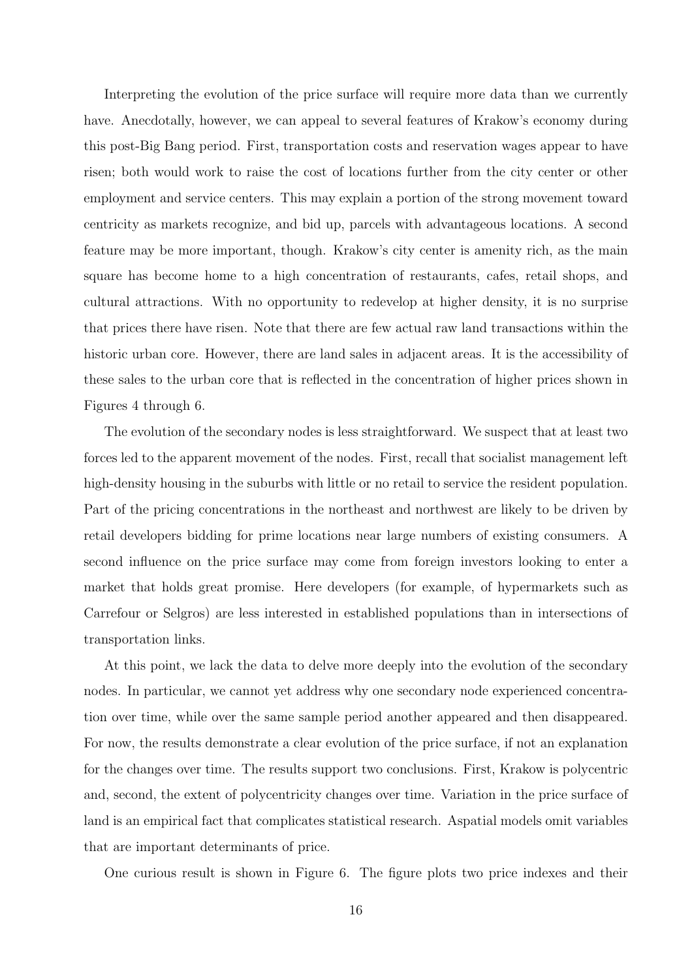Interpreting the evolution of the price surface will require more data than we currently have. Anecdotally, however, we can appeal to several features of Krakow's economy during this post-Big Bang period. First, transportation costs and reservation wages appear to have risen; both would work to raise the cost of locations further from the city center or other employment and service centers. This may explain a portion of the strong movement toward centricity as markets recognize, and bid up, parcels with advantageous locations. A second feature may be more important, though. Krakow's city center is amenity rich, as the main square has become home to a high concentration of restaurants, cafes, retail shops, and cultural attractions. With no opportunity to redevelop at higher density, it is no surprise that prices there have risen. Note that there are few actual raw land transactions within the historic urban core. However, there are land sales in adjacent areas. It is the accessibility of these sales to the urban core that is reflected in the concentration of higher prices shown in Figures 4 through 6.

The evolution of the secondary nodes is less straightforward. We suspect that at least two forces led to the apparent movement of the nodes. First, recall that socialist management left high-density housing in the suburbs with little or no retail to service the resident population. Part of the pricing concentrations in the northeast and northwest are likely to be driven by retail developers bidding for prime locations near large numbers of existing consumers. A second influence on the price surface may come from foreign investors looking to enter a market that holds great promise. Here developers (for example, of hypermarkets such as Carrefour or Selgros) are less interested in established populations than in intersections of transportation links.

At this point, we lack the data to delve more deeply into the evolution of the secondary nodes. In particular, we cannot yet address why one secondary node experienced concentration over time, while over the same sample period another appeared and then disappeared. For now, the results demonstrate a clear evolution of the price surface, if not an explanation for the changes over time. The results support two conclusions. First, Krakow is polycentric and, second, the extent of polycentricity changes over time. Variation in the price surface of land is an empirical fact that complicates statistical research. Aspatial models omit variables that are important determinants of price.

One curious result is shown in Figure 6. The figure plots two price indexes and their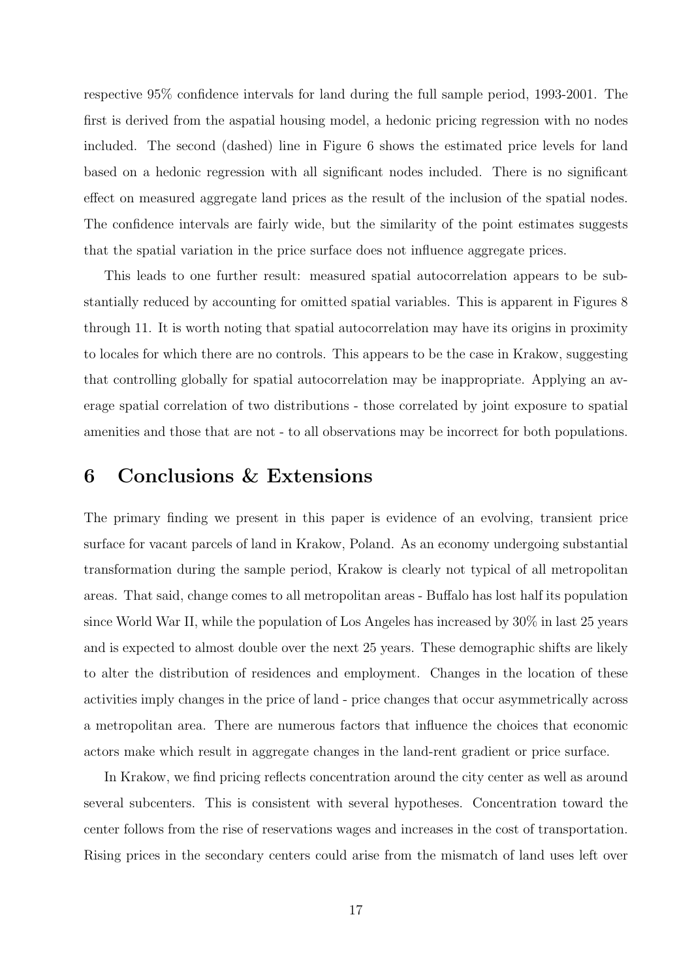respective 95% confidence intervals for land during the full sample period, 1993-2001. The first is derived from the aspatial housing model, a hedonic pricing regression with no nodes included. The second (dashed) line in Figure 6 shows the estimated price levels for land based on a hedonic regression with all significant nodes included. There is no significant effect on measured aggregate land prices as the result of the inclusion of the spatial nodes. The confidence intervals are fairly wide, but the similarity of the point estimates suggests that the spatial variation in the price surface does not influence aggregate prices.

This leads to one further result: measured spatial autocorrelation appears to be substantially reduced by accounting for omitted spatial variables. This is apparent in Figures 8 through 11. It is worth noting that spatial autocorrelation may have its origins in proximity to locales for which there are no controls. This appears to be the case in Krakow, suggesting that controlling globally for spatial autocorrelation may be inappropriate. Applying an average spatial correlation of two distributions - those correlated by joint exposure to spatial amenities and those that are not - to all observations may be incorrect for both populations.

#### 6 Conclusions & Extensions

The primary finding we present in this paper is evidence of an evolving, transient price surface for vacant parcels of land in Krakow, Poland. As an economy undergoing substantial transformation during the sample period, Krakow is clearly not typical of all metropolitan areas. That said, change comes to all metropolitan areas - Buffalo has lost half its population since World War II, while the population of Los Angeles has increased by 30% in last 25 years and is expected to almost double over the next 25 years. These demographic shifts are likely to alter the distribution of residences and employment. Changes in the location of these activities imply changes in the price of land - price changes that occur asymmetrically across a metropolitan area. There are numerous factors that influence the choices that economic actors make which result in aggregate changes in the land-rent gradient or price surface.

In Krakow, we find pricing reflects concentration around the city center as well as around several subcenters. This is consistent with several hypotheses. Concentration toward the center follows from the rise of reservations wages and increases in the cost of transportation. Rising prices in the secondary centers could arise from the mismatch of land uses left over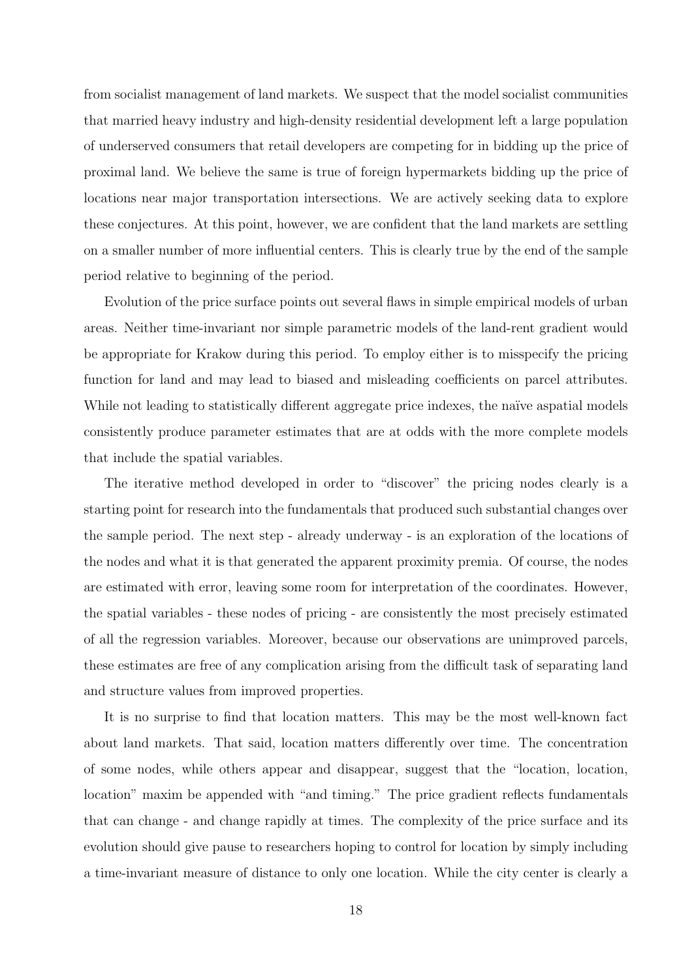from socialist management of land markets. We suspect that the model socialist communities that married heavy industry and high-density residential development left a large population of underserved consumers that retail developers are competing for in bidding up the price of proximal land. We believe the same is true of foreign hypermarkets bidding up the price of locations near major transportation intersections. We are actively seeking data to explore these conjectures. At this point, however, we are confident that the land markets are settling on a smaller number of more influential centers. This is clearly true by the end of the sample period relative to beginning of the period.

Evolution of the price surface points out several flaws in simple empirical models of urban areas. Neither time-invariant nor simple parametric models of the land-rent gradient would be appropriate for Krakow during this period. To employ either is to misspecify the pricing function for land and may lead to biased and misleading coefficients on parcel attributes. While not leading to statistically different aggregate price indexes, the naïve aspatial models consistently produce parameter estimates that are at odds with the more complete models that include the spatial variables.

The iterative method developed in order to "discover" the pricing nodes clearly is a starting point for research into the fundamentals that produced such substantial changes over the sample period. The next step - already underway - is an exploration of the locations of the nodes and what it is that generated the apparent proximity premia. Of course, the nodes are estimated with error, leaving some room for interpretation of the coordinates. However, the spatial variables - these nodes of pricing - are consistently the most precisely estimated of all the regression variables. Moreover, because our observations are unimproved parcels, these estimates are free of any complication arising from the difficult task of separating land and structure values from improved properties.

It is no surprise to find that location matters. This may be the most well-known fact about land markets. That said, location matters differently over time. The concentration of some nodes, while others appear and disappear, suggest that the "location, location, location" maxim be appended with "and timing." The price gradient reflects fundamentals that can change - and change rapidly at times. The complexity of the price surface and its evolution should give pause to researchers hoping to control for location by simply including a time-invariant measure of distance to only one location. While the city center is clearly a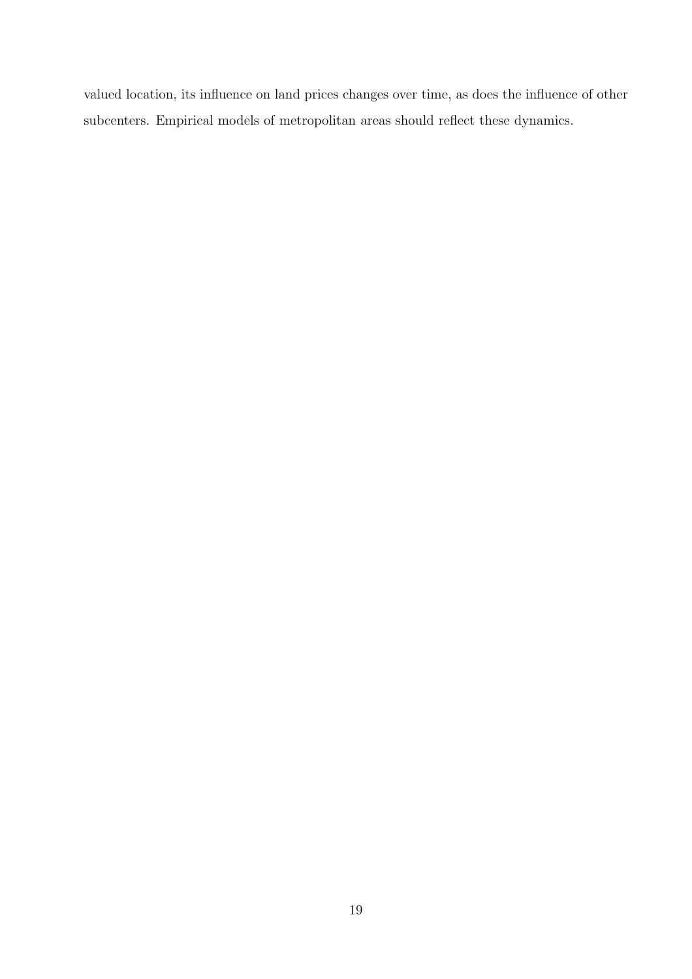valued location, its influence on land prices changes over time, as does the influence of other subcenters. Empirical models of metropolitan areas should reflect these dynamics.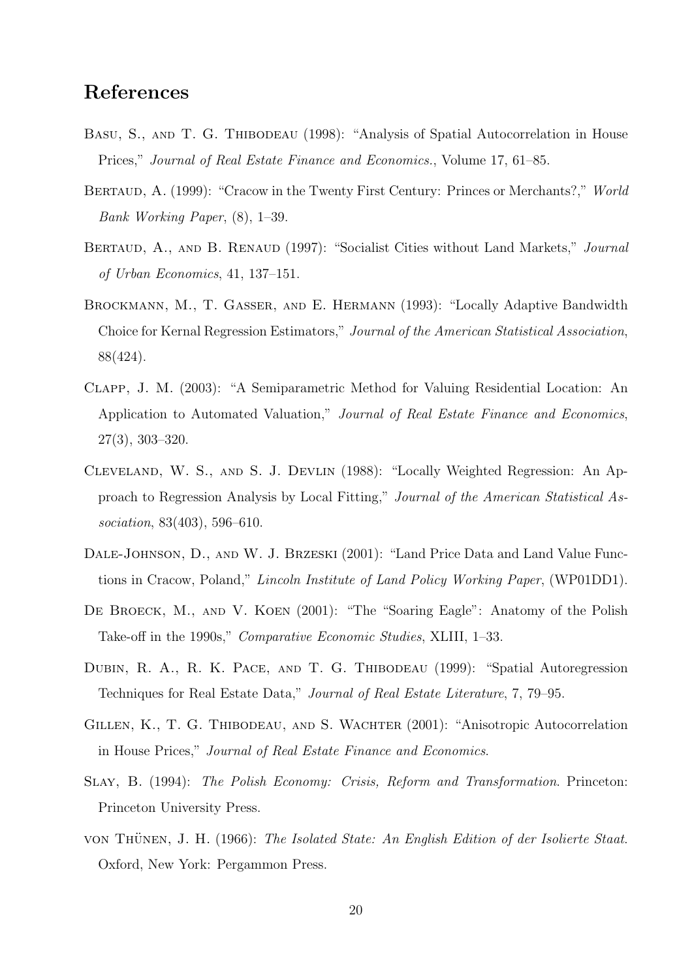# References

- BASU, S., AND T. G. THIBODEAU (1998): "Analysis of Spatial Autocorrelation in House Prices," Journal of Real Estate Finance and Economics., Volume 17, 61–85.
- BERTAUD, A. (1999): "Cracow in the Twenty First Century: Princes or Merchants?," World Bank Working Paper, (8), 1–39.
- BERTAUD, A., AND B. RENAUD (1997): "Socialist Cities without Land Markets," Journal of Urban Economics, 41, 137–151.
- Brockmann, M., T. Gasser, and E. Hermann (1993): "Locally Adaptive Bandwidth Choice for Kernal Regression Estimators," Journal of the American Statistical Association, 88(424).
- Clapp, J. M. (2003): "A Semiparametric Method for Valuing Residential Location: An Application to Automated Valuation," Journal of Real Estate Finance and Economics, 27(3), 303–320.
- Cleveland, W. S., and S. J. Devlin (1988): "Locally Weighted Regression: An Approach to Regression Analysis by Local Fitting," Journal of the American Statistical Association, 83(403), 596–610.
- Dale-Johnson, D., and W. J. Brzeski (2001): "Land Price Data and Land Value Functions in Cracow, Poland," Lincoln Institute of Land Policy Working Paper, (WP01DD1).
- DE BROECK, M., AND V. KOEN (2001): "The "Soaring Eagle": Anatomy of the Polish Take-off in the 1990s," Comparative Economic Studies, XLIII, 1–33.
- DUBIN, R. A., R. K. PACE, AND T. G. THIBODEAU (1999): "Spatial Autoregression Techniques for Real Estate Data," Journal of Real Estate Literature, 7, 79–95.
- GILLEN, K., T. G. THIBODEAU, AND S. WACHTER (2001): "Anisotropic Autocorrelation in House Prices," Journal of Real Estate Finance and Economics.
- Slay, B. (1994): The Polish Economy: Crisis, Reform and Transformation. Princeton: Princeton University Press.
- von Thünen, J. H. (1966): The Isolated State: An English Edition of der Isolierte Staat. Oxford, New York: Pergammon Press.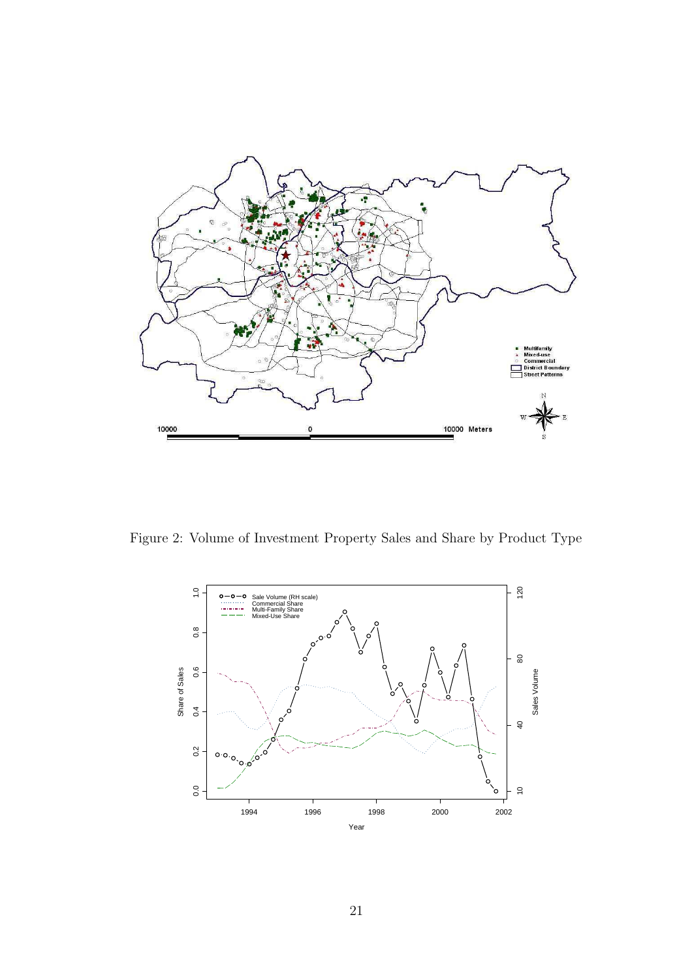

Figure 2: Volume of Investment Property Sales and Share by Product Type

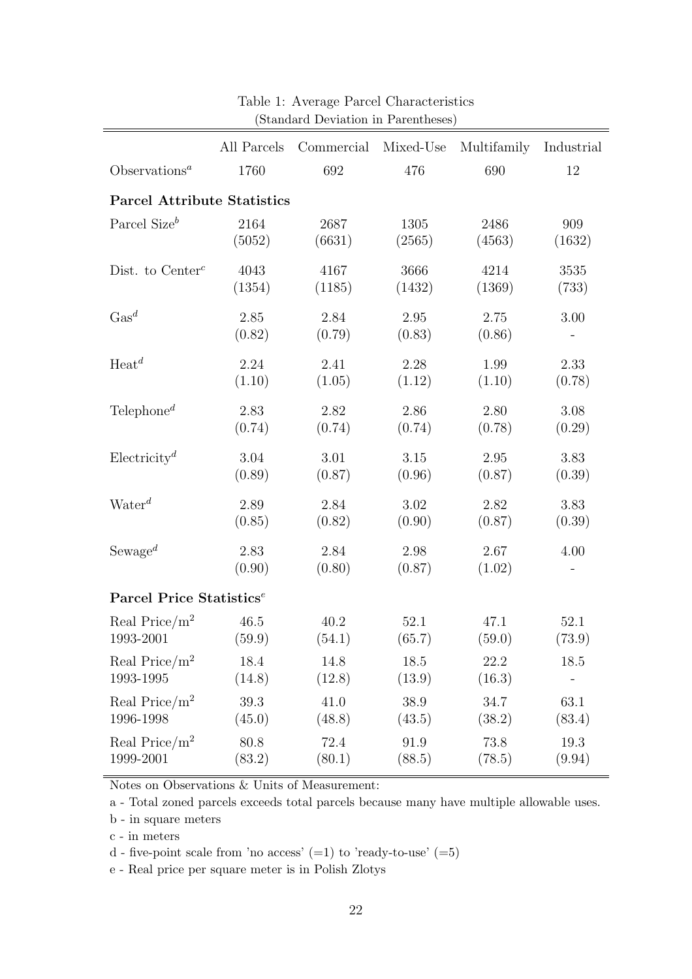|                                        | All Parcels        |                    |                    | Commercial Mixed-Use Multifamily Industrial |        |  |  |  |  |
|----------------------------------------|--------------------|--------------------|--------------------|---------------------------------------------|--------|--|--|--|--|
| Observations <sup><math>a</math></sup> | 1760               | 692                | 476                | 690                                         | 12     |  |  |  |  |
| <b>Parcel Attribute Statistics</b>     |                    |                    |                    |                                             |        |  |  |  |  |
| Parcel Size $^b$                       | 2164               | 2687               | 1305               | 2486                                        | 909    |  |  |  |  |
|                                        | (5052)             | (6631)             | (2565)             | (4563)                                      | (1632) |  |  |  |  |
| Dist. to $Center^c$                    | 4043               | 4167               | 3666               | 4214                                        | 3535   |  |  |  |  |
|                                        | (1354)             | (1185)             | (1432)             | (1369)                                      | (733)  |  |  |  |  |
| $\text{Gas}^d$                         | $2.85\,$<br>(0.82) | $2.84\,$<br>(0.79) | $2.95\,$<br>(0.83) | $2.75\,$<br>(0.86)                          | 3.00   |  |  |  |  |
| $\text{Heat}^d$                        | 2.24               | 2.41               | 2.28               | 1.99                                        | 2.33   |  |  |  |  |
|                                        | (1.10)             | (1.05)             | (1.12)             | (1.10)                                      | (0.78) |  |  |  |  |
| Telephone <sup><math>d</math></sup>    | 2.83               | 2.82               | 2.86               | 2.80                                        | 3.08   |  |  |  |  |
|                                        | (0.74)             | (0.74)             | (0.74)             | (0.78)                                      | (0.29) |  |  |  |  |
| $Electricity^d$                        | $3.04\,$           | $3.01\,$           | $3.15\,$           | $2.95\,$                                    | 3.83   |  |  |  |  |
|                                        | (0.89)             | (0.87)             | (0.96)             | (0.87)                                      | (0.39) |  |  |  |  |
| $\mathrm{Water}^d$                     | 2.89               | 2.84               | $3.02\,$           | 2.82                                        | 3.83   |  |  |  |  |
|                                        | (0.85)             | (0.82)             | (0.90)             | (0.87)                                      | (0.39) |  |  |  |  |
| $S$ ewage <sup>d</sup>                 | 2.83<br>(0.90)     | 2.84<br>(0.80)     | 2.98<br>(0.87)     | 2.67<br>(1.02)                              | 4.00   |  |  |  |  |
| Parcel Price Statistics <sup>e</sup>   |                    |                    |                    |                                             |        |  |  |  |  |
| Real Price/ $m^2$                      | 46.5               | 40.2               | 52.1               | 47.1                                        | 52.1   |  |  |  |  |
| 1993-2001                              | (59.9)             | (54.1)             | (65.7)             | (59.0)                                      | (73.9) |  |  |  |  |
| Real Price/ $m^2$                      | 18.4               | 14.8               | 18.5               | 22.2                                        | 18.5   |  |  |  |  |
| 1993-1995                              | (14.8)             | (12.8)             | (13.9)             | (16.3)                                      |        |  |  |  |  |
| Real Price/ $m^2$                      | $39.3\,$           | 41.0               | 38.9               | 34.7                                        | 63.1   |  |  |  |  |
| 1996-1998                              | (45.0)             | (48.8)             | (43.5)             | (38.2)                                      | (83.4) |  |  |  |  |
| Real Price/ $m^2$                      | 80.8               | 72.4               | 91.9               | 73.8                                        | 19.3   |  |  |  |  |
| 1999-2001                              | (83.2)             | (80.1)             | (88.5)             | (78.5)                                      | (9.94) |  |  |  |  |

#### Table 1: Average Parcel Characteristics (Standard Deviation in Parentheses)

Notes on Observations & Units of Measurement:

a - Total zoned parcels exceeds total parcels because many have multiple allowable uses.

b - in square meters

c - in meters

d - five-point scale from 'no access'  $(=1)$  to 'ready-to-use'  $(=5)$ 

e - Real price per square meter is in Polish Zlotys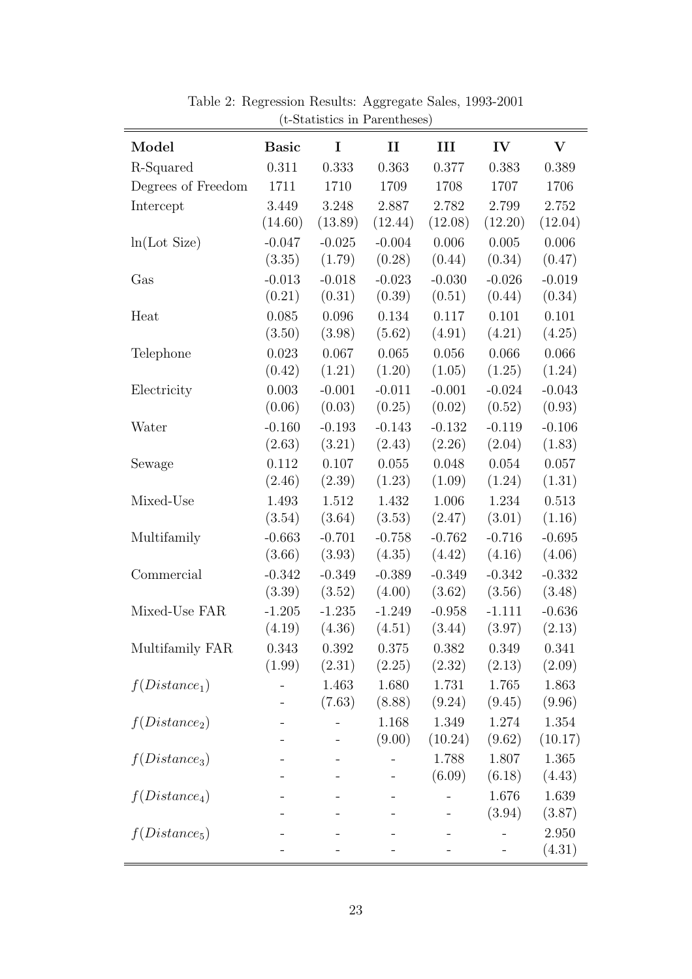| Model                     | <b>Basic</b>       | $\bf{I}$           | $\rm II$           | Ш                  | $\mathbf{IV}$      | $\bf V$            |
|---------------------------|--------------------|--------------------|--------------------|--------------------|--------------------|--------------------|
| R-Squared                 | 0.311              | 0.333              | 0.363              | 0.377              | 0.383              | 0.389              |
| Degrees of Freedom        | 1711               | 1710               | 1709               | 1708               | 1707               | 1706               |
| Intercept                 | 3.449              | 3.248              | 2.887              | 2.782              | 2.799              | 2.752              |
|                           | (14.60)            | (13.89)            | (12.44)            | (12.08)            | (12.20)            | (12.04)            |
| ln(Lot Size)              | $-0.047$           | $-0.025$           | $-0.004$           | 0.006              | 0.005              | 0.006              |
|                           | (3.35)             | (1.79)             | (0.28)             | (0.44)             | (0.34)             | (0.47)             |
| Gas                       | $-0.013$           | $-0.018$           | $-0.023$           | $-0.030$           | $-0.026$           | $-0.019$           |
|                           | (0.21)             | (0.31)             | (0.39)             | (0.51)             | (0.44)             | (0.34)             |
| Heat                      | 0.085              | 0.096              | 0.134              | 0.117              | 0.101              | 0.101              |
|                           | (3.50)             | (3.98)             | (5.62)             | (4.91)             | (4.21)             | (4.25)             |
| Telephone                 | 0.023              | 0.067              | 0.065              | 0.056              | 0.066              | 0.066              |
|                           | (0.42)             | (1.21)             | (1.20)             | (1.05)             | (1.25)             | (1.24)             |
| Electricity               | 0.003              | $-0.001$           | $-0.011$           | $-0.001$           | $-0.024$           | $-0.043$           |
|                           | (0.06)             | (0.03)             | (0.25)             | (0.02)             | (0.52)             | (0.93)             |
| Water                     | $-0.160$           | $-0.193$           | $-0.143$           | $-0.132$           | $-0.119$           | $-0.106$           |
|                           | (2.63)             | (3.21)             | (2.43)             | (2.26)             | (2.04)             | (1.83)             |
| Sewage                    | 0.112              | 0.107              | 0.055              | 0.048              | 0.054              | 0.057              |
|                           | (2.46)             | (2.39)             | (1.23)             | (1.09)             | (1.24)             | (1.31)             |
| Mixed-Use                 | 1.493              | 1.512              | 1.432              | 1.006              | 1.234              | 0.513              |
|                           | (3.54)             | (3.64)             | (3.53)             | (2.47)             | (3.01)             | (1.16)             |
| Multifamily               | $-0.663$           | $-0.701$           | $-0.758$           | $-0.762$           | $-0.716$           | $-0.695$           |
|                           | (3.66)             | (3.93)             | (4.35)             | (4.42)             | (4.16)             | (4.06)             |
| Commercial                | $-0.342$<br>(3.39) | $-0.349$<br>(3.52) | $-0.389$<br>(4.00) | $-0.349$<br>(3.62) | $-0.342$<br>(3.56) | $-0.332$           |
| Mixed-Use FAR             | $-1.205$           | $-1.235$           | $-1.249$           | $-0.958$           | $-1.111$           | (3.48)<br>$-0.636$ |
|                           | (4.19)             | (4.36)             | (4.51)             | (3.44)             | (3.97)             | (2.13)             |
| Multifamily FAR           | 0.343              | 0.392              | 0.375              | 0.382              | 0.349              | 0.341              |
|                           | (1.99)             | (2.31)             | (2.25)             | (2.32)             | (2.13)             | (2.09)             |
| f(Distance <sub>1</sub> ) |                    | 1.463              | 1.680              | 1.731              | 1.765              | 1.863              |
|                           |                    | (7.63)             | (8.88)             | (9.24)             | (9.45)             | (9.96)             |
| f(Distance <sub>2</sub> ) |                    |                    | 1.168              | 1.349              | 1.274              | 1.354              |
|                           |                    |                    | (9.00)             | (10.24)            | (9.62)             | (10.17)            |
| $f(Distance_3)$           |                    |                    |                    | 1.788              | 1.807              | 1.365              |
|                           |                    |                    |                    | (6.09)             | (6.18)             | (4.43)             |
| f(Distance <sub>4</sub> ) |                    |                    |                    |                    | 1.676              | 1.639              |
|                           |                    |                    |                    |                    | (3.94)             | (3.87)             |
| $f(Distance_5)$           |                    |                    |                    |                    |                    | 2.950              |
|                           |                    |                    |                    |                    |                    | (4.31)             |

Table 2: Regression Results: Aggregate Sales, 1993-2001 (t-Statistics in Parentheses)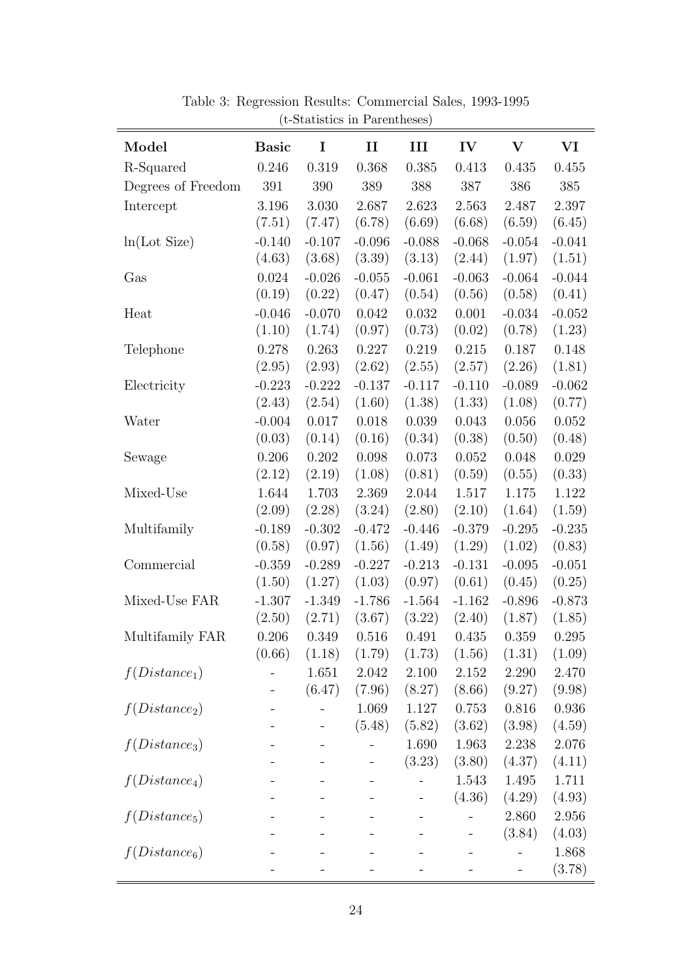| $\sigma$ or $\sigma$ or $\sigma$ or $\sigma$ in $\tau$ and $\sigma$ or $\sigma$ or $\sigma$ |              |          |          |          |               |           |          |  |  |
|---------------------------------------------------------------------------------------------|--------------|----------|----------|----------|---------------|-----------|----------|--|--|
| Model                                                                                       | <b>Basic</b> | I        | $\rm II$ | Ш        | $\mathbf{IV}$ | $\bf V$   | VI       |  |  |
| R-Squared                                                                                   | 0.246        | 0.319    | 0.368    | 0.385    | 0.413         | 0.435     | 0.455    |  |  |
| Degrees of Freedom                                                                          | 391          | 390      | 389      | 388      | 387           | 386       | 385      |  |  |
| Intercept                                                                                   | 3.196        | 3.030    | 2.687    | 2.623    | 2.563         | 2.487     | 2.397    |  |  |
|                                                                                             | (7.51)       | (7.47)   | (6.78)   | (6.69)   | (6.68)        | (6.59)    | (6.45)   |  |  |
| ln(Lot Size)                                                                                | $-0.140$     | $-0.107$ | $-0.096$ | $-0.088$ | $-0.068$      | $-0.054$  | $-0.041$ |  |  |
|                                                                                             | (4.63)       | (3.68)   | (3.39)   | (3.13)   | (2.44)        | (1.97)    | (1.51)   |  |  |
| Gas                                                                                         | 0.024        | $-0.026$ | $-0.055$ | $-0.061$ | $-0.063$      | $-0.064$  | $-0.044$ |  |  |
|                                                                                             | (0.19)       | (0.22)   | (0.47)   | (0.54)   | (0.56)        | (0.58)    | (0.41)   |  |  |
| Heat                                                                                        | $-0.046$     | $-0.070$ | 0.042    | 0.032    | 0.001         | $-0.034$  | $-0.052$ |  |  |
|                                                                                             | (1.10)       | (1.74)   | (0.97)   | (0.73)   | (0.02)        | (0.78)    | (1.23)   |  |  |
| Telephone                                                                                   | 0.278        | 0.263    | 0.227    | 0.219    | 0.215         | 0.187     | 0.148    |  |  |
|                                                                                             | (2.95)       | (2.93)   | (2.62)   | (2.55)   | (2.57)        | (2.26)    | (1.81)   |  |  |
| Electricity                                                                                 | $-0.223$     | $-0.222$ | $-0.137$ | $-0.117$ | $-0.110$      | $-0.089$  | $-0.062$ |  |  |
|                                                                                             | (2.43)       | (2.54)   | (1.60)   | (1.38)   | (1.33)        | (1.08)    | (0.77)   |  |  |
| Water                                                                                       | $-0.004$     | 0.017    | 0.018    | 0.039    | 0.043         | 0.056     | 0.052    |  |  |
|                                                                                             | (0.03)       | (0.14)   | (0.16)   | (0.34)   | (0.38)        | (0.50)    | (0.48)   |  |  |
| Sewage                                                                                      | 0.206        | 0.202    | 0.098    | 0.073    | 0.052         | 0.048     | 0.029    |  |  |
|                                                                                             | (2.12)       | (2.19)   | (1.08)   | (0.81)   | (0.59)        | (0.55)    | (0.33)   |  |  |
| Mixed-Use                                                                                   | 1.644        | 1.703    | 2.369    | 2.044    | 1.517         | $1.175\,$ | 1.122    |  |  |
|                                                                                             | (2.09)       | (2.28)   | (3.24)   | (2.80)   | (2.10)        | (1.64)    | (1.59)   |  |  |
| Multifamily                                                                                 | $-0.189$     | $-0.302$ | $-0.472$ | $-0.446$ | $-0.379$      | $-0.295$  | $-0.235$ |  |  |
|                                                                                             | (0.58)       | (0.97)   | (1.56)   | (1.49)   | (1.29)        | (1.02)    | (0.83)   |  |  |
| Commercial                                                                                  | $-0.359$     | $-0.289$ | $-0.227$ | $-0.213$ | $-0.131$      | $-0.095$  | $-0.051$ |  |  |
|                                                                                             | (1.50)       | (1.27)   | (1.03)   | (0.97)   | (0.61)        | (0.45)    | (0.25)   |  |  |
| Mixed-Use FAR                                                                               | $-1.307$     | $-1.349$ | $-1.786$ | $-1.564$ | $-1.162$      | $-0.896$  | $-0.873$ |  |  |
|                                                                                             | (2.50)       | (2.71)   | (3.67)   | (3.22)   | (2.40)        | (1.87)    | (1.85)   |  |  |
| Multifamily FAR                                                                             | 0.206        | 0.349    | 0.516    | 0.491    | 0.435         | 0.359     | 0.295    |  |  |
|                                                                                             | (0.66)       | (1.18)   | (1.79)   | (1.73)   | (1.56)        | (1.31)    | (1.09)   |  |  |
| $f(Distance_1)$                                                                             |              | 1.651    | 2.042    | 2.100    | $2.152\,$     | 2.290     | 2.470    |  |  |
|                                                                                             |              | (6.47)   | (7.96)   | (8.27)   | (8.66)        | (9.27)    | (9.98)   |  |  |
| f(Distance <sub>2</sub> )                                                                   |              |          | 1.069    | 1.127    | 0.753         | 0.816     | 0.936    |  |  |
|                                                                                             |              |          | (5.48)   | (5.82)   | (3.62)        | (3.98)    | (4.59)   |  |  |
| $f(Distance_3)$                                                                             |              |          |          | 1.690    | 1.963         | 2.238     | 2.076    |  |  |
|                                                                                             |              |          |          | (3.23)   | (3.80)        | (4.37)    | (4.11)   |  |  |
| f(Distance <sub>4</sub> )                                                                   |              |          |          |          | 1.543         | 1.495     | 1.711    |  |  |
|                                                                                             |              |          |          |          | (4.36)        | (4.29)    | (4.93)   |  |  |
| $f(Distance_5)$                                                                             |              |          |          | -        |               | 2.860     | 2.956    |  |  |
|                                                                                             |              |          |          |          |               | (3.84)    | (4.03)   |  |  |
| $f(Distance_6)$                                                                             |              |          |          |          |               |           | 1.868    |  |  |
|                                                                                             |              |          |          | -        | -             |           | (3.78)   |  |  |

Table 3: Regression Results: Commercial Sales, 1993-1995 (t-Statistics in Parentheses)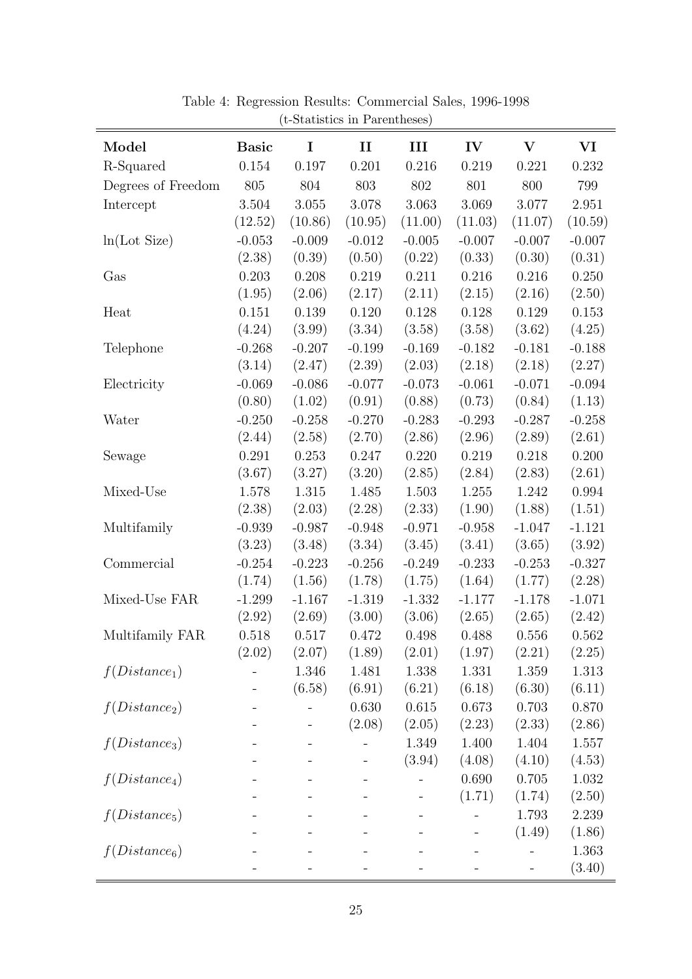|                           |              |             | $\frac{1}{2}$ |                          |          |                          |          |
|---------------------------|--------------|-------------|---------------|--------------------------|----------|--------------------------|----------|
| Model                     | <b>Basic</b> | $\mathbf I$ | $\mathbf{I}$  | III                      | IV       | $\bold{V}$               | VI       |
| R-Squared                 | 0.154        | 0.197       | 0.201         | 0.216                    | 0.219    | 0.221                    | 0.232    |
| Degrees of Freedom        | 805          | 804         | 803           | 802                      | 801      | 800                      | 799      |
| Intercept                 | 3.504        | $3.055\,$   | 3.078         | 3.063                    | 3.069    | 3.077                    | 2.951    |
|                           | (12.52)      | (10.86)     | (10.95)       | (11.00)                  | (11.03)  | (11.07)                  | (10.59)  |
| ln(Lot Size)              | $-0.053$     | $-0.009$    | $-0.012$      | $-0.005$                 | $-0.007$ | $-0.007$                 | $-0.007$ |
|                           | (2.38)       | (0.39)      | (0.50)        | (0.22)                   | (0.33)   | (0.30)                   | (0.31)   |
| Gas                       | 0.203        | 0.208       | 0.219         | 0.211                    | 0.216    | 0.216                    | 0.250    |
|                           | (1.95)       | (2.06)      | (2.17)        | (2.11)                   | (2.15)   | (2.16)                   | (2.50)   |
| Heat                      | 0.151        | 0.139       | 0.120         | 0.128                    | 0.128    | 0.129                    | 0.153    |
|                           | (4.24)       | (3.99)      | (3.34)        | (3.58)                   | (3.58)   | (3.62)                   | (4.25)   |
| Telephone                 | $-0.268$     | $-0.207$    | $-0.199$      | $-0.169$                 | $-0.182$ | $-0.181$                 | $-0.188$ |
|                           | (3.14)       | (2.47)      | (2.39)        | (2.03)                   | (2.18)   | (2.18)                   | (2.27)   |
| Electricity               | $-0.069$     | $-0.086$    | $-0.077$      | $-0.073$                 | $-0.061$ | $-0.071$                 | $-0.094$ |
|                           | (0.80)       | (1.02)      | (0.91)        | (0.88)                   | (0.73)   | (0.84)                   | (1.13)   |
| Water                     | $-0.250$     | $-0.258$    | $-0.270$      | $-0.283$                 | $-0.293$ | $-0.287$                 | $-0.258$ |
|                           | (2.44)       | (2.58)      | (2.70)        | (2.86)                   | (2.96)   | (2.89)                   | (2.61)   |
| Sewage                    | 0.291        | 0.253       | 0.247         | 0.220                    | 0.219    | 0.218                    | 0.200    |
|                           | (3.67)       | (3.27)      | (3.20)        | (2.85)                   | (2.84)   | (2.83)                   | (2.61)   |
| Mixed-Use                 | 1.578        | $1.315\,$   | 1.485         | 1.503                    | 1.255    | 1.242                    | 0.994    |
|                           | (2.38)       | (2.03)      | (2.28)        | (2.33)                   | (1.90)   | (1.88)                   | (1.51)   |
| Multifamily               | $-0.939$     | $-0.987$    | $-0.948$      | $-0.971$                 | $-0.958$ | $-1.047$                 | $-1.121$ |
|                           | (3.23)       | (3.48)      | (3.34)        | (3.45)                   | (3.41)   | (3.65)                   | (3.92)   |
| Commercial                | $-0.254$     | $-0.223$    | $-0.256$      | $-0.249$                 | $-0.233$ | $-0.253$                 | $-0.327$ |
|                           | (1.74)       | (1.56)      | (1.78)        | (1.75)                   | (1.64)   | (1.77)                   | (2.28)   |
| Mixed-Use FAR             | $-1.299$     | $-1.167$    | $-1.319$      | $-1.332$                 | $-1.177$ | $-1.178$                 | $-1.071$ |
|                           | (2.92)       | (2.69)      | (3.00)        | (3.06)                   | (2.65)   | (2.65)                   | (2.42)   |
| Multifamily FAR           | 0.518        | 0.517       | 0.472         | 0.498                    | 0.488    | 0.556                    | 0.562    |
|                           | (2.02)       | (2.07)      | (1.89)        | (2.01)                   | (1.97)   | (2.21)                   | (2.25)   |
| $f(Distance_1)$           |              | 1.346       | 1.481         | 1.338                    | 1.331    | 1.359                    | 1.313    |
|                           |              | (6.58)      | (6.91)        | (6.21)                   | (6.18)   | (6.30)                   | (6.11)   |
| f(Distance <sub>2</sub> ) |              |             | 0.630         | 0.615                    | 0.673    | 0.703                    | 0.870    |
|                           |              |             | (2.08)        | (2.05)                   | (2.23)   | (2.33)                   | (2.86)   |
| $f(Distance_3)$           |              |             |               | 1.349                    | 1.400    | 1.404                    | 1.557    |
|                           |              |             |               | (3.94)                   | (4.08)   | (4.10)                   | (4.53)   |
| f(Distance <sub>4</sub> ) |              |             |               |                          | 0.690    | 0.705                    | 1.032    |
|                           |              |             |               | $\overline{\phantom{0}}$ | (1.71)   | (1.74)                   | (2.50)   |
| $f(Distance_5)$           |              |             |               | -                        |          | 1.793                    | 2.239    |
|                           |              |             |               |                          |          | (1.49)                   | (1.86)   |
| $f(Distance_6)$           |              |             |               |                          | -        |                          | 1.363    |
|                           |              |             |               |                          |          | $\overline{\phantom{0}}$ | (3.40)   |

Table 4: Regression Results: Commercial Sales, 1996-1998 (t-Statistics in Parentheses)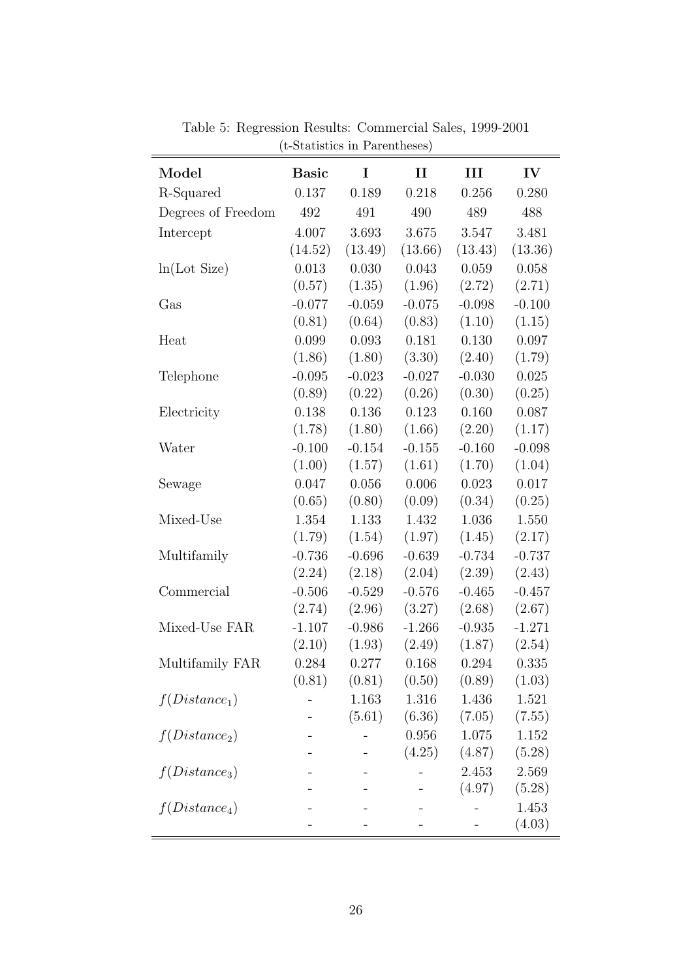| Model                     | <b>Basic</b> | $\frac{1}{2}$<br>I | $\mathbf{I}$ | Ш        | IV       |
|---------------------------|--------------|--------------------|--------------|----------|----------|
| R-Squared                 | 0.137        | 0.189              | 0.218        | 0.256    | 0.280    |
|                           |              |                    |              |          |          |
| Degrees of Freedom        | 492          | 491                | 490          | 489      | 488      |
| Intercept                 | 4.007        | 3.693              | 3.675        | 3.547    | 3.481    |
|                           | (14.52)      | (13.49)            | (13.66)      | (13.43)  | (13.36)  |
| ln(Lot Size)              | 0.013        | 0.030              | 0.043        | 0.059    | 0.058    |
|                           | (0.57)       | (1.35)             | (1.96)       | (2.72)   | (2.71)   |
| Gas                       | $-0.077$     | $-0.059$           | $-0.075$     | $-0.098$ | $-0.100$ |
|                           | (0.81)       | (0.64)             | (0.83)       | (1.10)   | (1.15)   |
| Heat                      | 0.099        | 0.093              | 0.181        | 0.130    | 0.097    |
|                           | (1.86)       | (1.80)             | (3.30)       | (2.40)   | (1.79)   |
| Telephone                 | $-0.095$     | $-0.023$           | $-0.027$     | $-0.030$ | 0.025    |
|                           | (0.89)       | (0.22)             | (0.26)       | (0.30)   | (0.25)   |
| Electricity               | 0.138        | 0.136              | 0.123        | 0.160    | 0.087    |
|                           | (1.78)       | (1.80)             | (1.66)       | (2.20)   | (1.17)   |
| Water                     | $-0.100$     | $-0.154$           | $-0.155$     | $-0.160$ | $-0.098$ |
|                           | (1.00)       | (1.57)             | (1.61)       | (1.70)   | (1.04)   |
| Sewage                    | 0.047        | 0.056              | 0.006        | 0.023    | 0.017    |
|                           | (0.65)       | (0.80)             | (0.09)       | (0.34)   | (0.25)   |
| Mixed-Use                 | 1.354        | 1.133              | 1.432        | 1.036    | 1.550    |
|                           | (1.79)       | (1.54)             | (1.97)       | (1.45)   | (2.17)   |
| Multifamily               | $-0.736$     | $-0.696$           | $-0.639$     | $-0.734$ | $-0.737$ |
|                           | (2.24)       | (2.18)             | (2.04)       | (2.39)   | (2.43)   |
| Commercial                | $-0.506$     | $-0.529$           | $-0.576$     | $-0.465$ | $-0.457$ |
|                           | (2.74)       | (2.96)             | (3.27)       | (2.68)   | (2.67)   |
| Mixed-Use FAR             | $-1.107$     | $-0.986$           | $-1.266$     | $-0.935$ | $-1.271$ |
|                           | (2.10)       | (1.93)             | (2.49)       | (1.87)   | (2.54)   |
| Multifamily FAR           | 0.284        | 0.277              | 0.168        | 0.294    | 0.335    |
|                           | (0.81)       | (0.81)             | (0.50)       | (0.89)   | (1.03)   |
| f(Distance <sub>1</sub> ) |              | 1.163              | 1.316        | 1.436    | 1.521    |
|                           |              | (5.61)             | (6.36)       | (7.05)   | (7.55)   |
| f(Distance <sub>2</sub> ) |              |                    | 0.956        | 1.075    | 1.152    |
|                           |              |                    | (4.25)       | (4.87)   | (5.28)   |
| $f(Distance_3)$           |              |                    |              | 2.453    | 2.569    |
|                           |              |                    |              | (4.97)   | (5.28)   |
|                           |              |                    |              |          | 1.453    |
| f(Distance <sub>4</sub> ) |              |                    |              |          | (4.03)   |
|                           |              |                    |              |          |          |

Table 5: Regression Results: Commercial Sales, 1999-2001 (t-Statistics in Parentheses)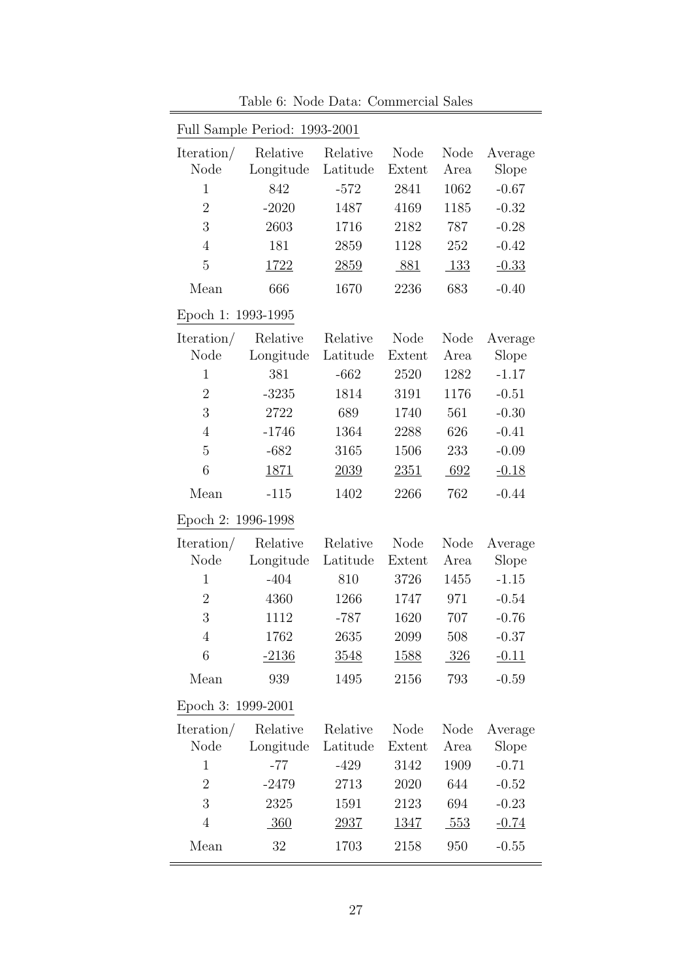|                               | $\cdots$           |              |                    |                 |         |  |  |  |  |
|-------------------------------|--------------------|--------------|--------------------|-----------------|---------|--|--|--|--|
| Full Sample Period: 1993-2001 |                    |              |                    |                 |         |  |  |  |  |
| Iteration/                    | Relative           | Relative     | Node               | Node            | Average |  |  |  |  |
| Node                          | Longitude          | Latitude     | Extent             | Area            | Slope   |  |  |  |  |
| $\mathbf{1}$                  | 842                | $-572$       | 2841               | 1062            | $-0.67$ |  |  |  |  |
| $\overline{2}$                | $-2020$            | 1487         | 4169               | 1185            | $-0.32$ |  |  |  |  |
| 3                             | 2603               | 1716         | 2182               | 787             | $-0.28$ |  |  |  |  |
| $\overline{4}$                | 181                | 2859         | 1128               | 252             | $-0.42$ |  |  |  |  |
| $\overline{5}$                | 1722               | 2859         | 881                | 133             | $-0.33$ |  |  |  |  |
| Mean                          | 666                | 1670         | 2236               | 683             | $-0.40$ |  |  |  |  |
| Epoch 1: 1993-1995            |                    |              |                    |                 |         |  |  |  |  |
| Iteration/                    | Relative           | Relative     | Node               | Node            | Average |  |  |  |  |
| Node                          | Longitude          | Latitude     | Extent             | Area            | Slope   |  |  |  |  |
| $\mathbf{1}$                  | 381                | $-662$       | 2520               | 1282            | $-1.17$ |  |  |  |  |
| $\overline{2}$                | $-3235$            | 1814         | 3191               | 1176            | $-0.51$ |  |  |  |  |
| 3                             | 2722               | 689          | 1740               | 561             | $-0.30$ |  |  |  |  |
| $\overline{4}$                | $-1746$            | 1364         | 2288               | 626             | $-0.41$ |  |  |  |  |
| $\overline{5}$                | $-682$             | 3165         | 1506               | 233             | $-0.09$ |  |  |  |  |
| 6                             | 1871               | 2039         | $\underline{2351}$ | 692             | $-0.18$ |  |  |  |  |
| Mean                          | $-115$             | 1402         | 2266               | 762             | $-0.44$ |  |  |  |  |
| Epoch 2: 1996-1998            |                    |              |                    |                 |         |  |  |  |  |
| Iteration/                    | Relative           | Relative     | Node               | Node            | Average |  |  |  |  |
| Node                          | Longitude          | Latitude     | Extent             | Area            | Slope   |  |  |  |  |
| $\mathbf{1}$                  | $-404$             | 810          | 3726               | 1455            | $-1.15$ |  |  |  |  |
| $\overline{2}$                | 4360               | 1266         | 1747               | 971             | $-0.54$ |  |  |  |  |
| 3                             | 1112               | $-787$       | 1620               | 707             | $-0.76$ |  |  |  |  |
| 4                             | 1762               | 2635         | 2099               | 508             | $-0.37$ |  |  |  |  |
| 6                             | $-2136$            | 3548         | 1588               | $\frac{326}{5}$ | $-0.11$ |  |  |  |  |
| Mean                          | 939                | 1495         | 2156               | 793             | $-0.59$ |  |  |  |  |
|                               | Epoch 3: 1999-2001 |              |                    |                 |         |  |  |  |  |
| Iteration/                    | Relative           | Relative     | Node               | Node            | Average |  |  |  |  |
| Node                          | Longitude          | Latitude     | Extent             | Area            | Slope   |  |  |  |  |
| $\mathbf{1}$                  | $-77$              | $-429$       | 3142               | 1909            | $-0.71$ |  |  |  |  |
| $\overline{2}$                | $-2479$            | 2713         | 2020               | 644             | $-0.52$ |  |  |  |  |
| 3                             | 2325               | 1591         | 2123               | 694             | $-0.23$ |  |  |  |  |
| $\overline{4}$                | 360                | <u> 2937</u> | <u>1347</u>        | $-553$          | $-0.74$ |  |  |  |  |
| Mean                          | 32                 | 1703         | 2158               | 950             | $-0.55$ |  |  |  |  |

Table 6: Node Data: Commercial Sales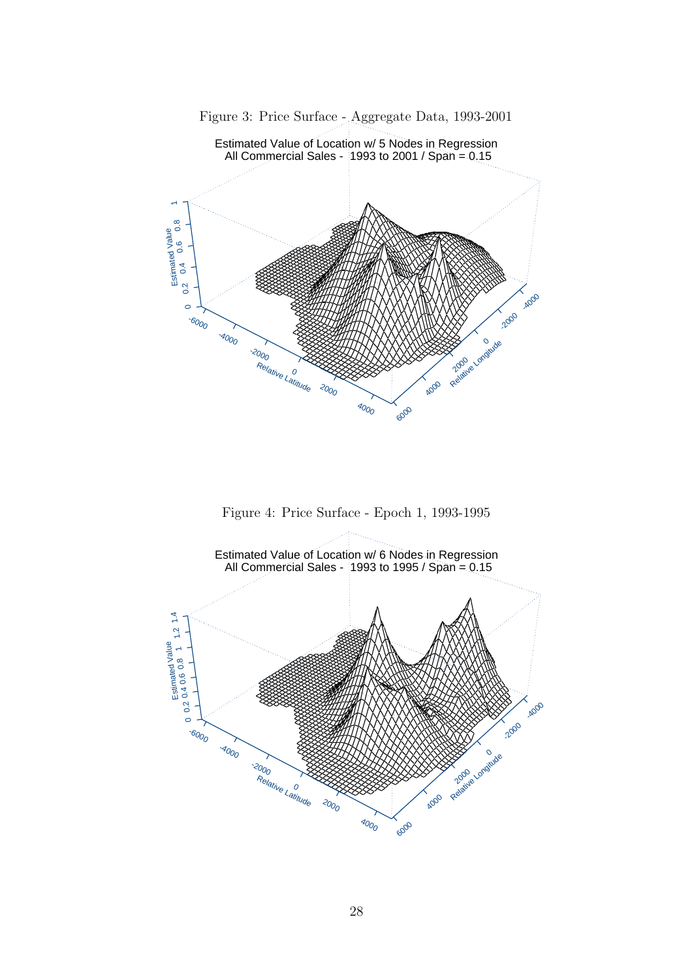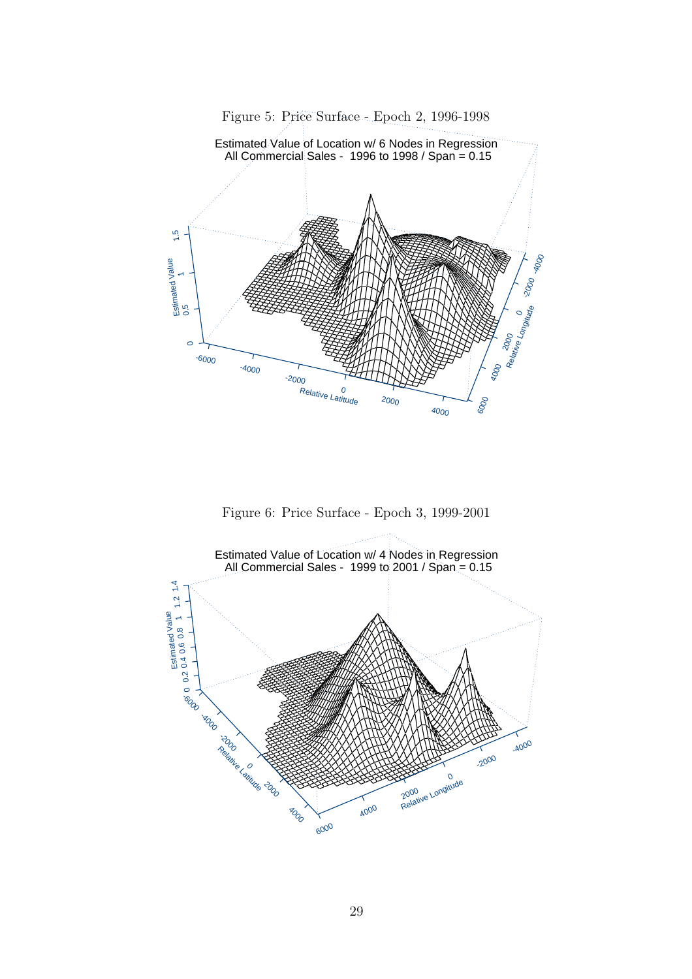

Figure 6: Price Surface - Epoch 3, 1999-2001

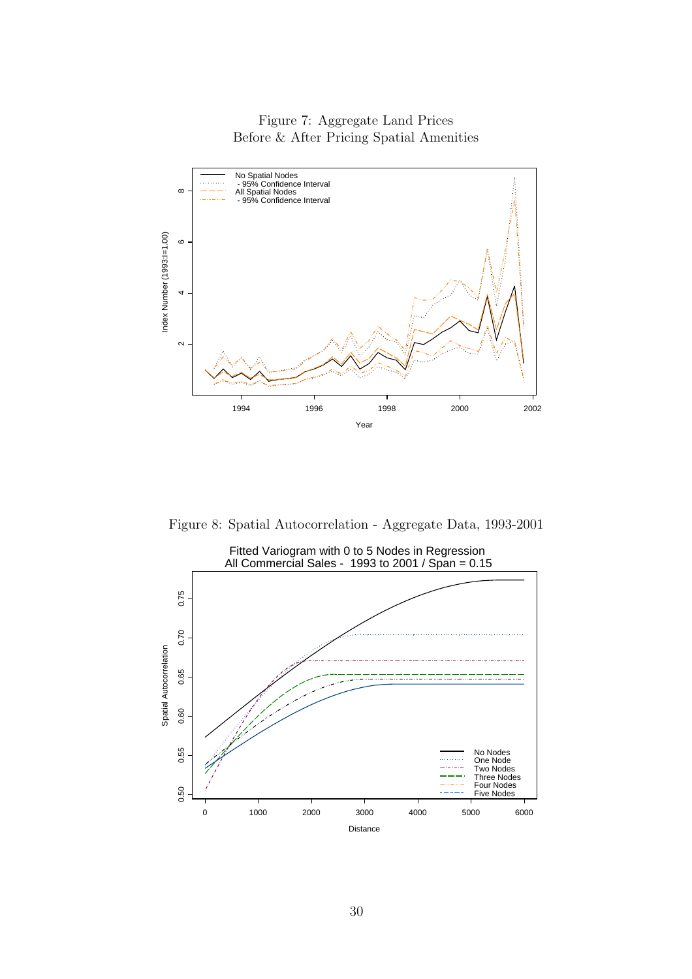#### Figure 7: Aggregate Land Prices Before & After Pricing Spatial Amenities



Figure 8: Spatial Autocorrelation - Aggregate Data, 1993-2001

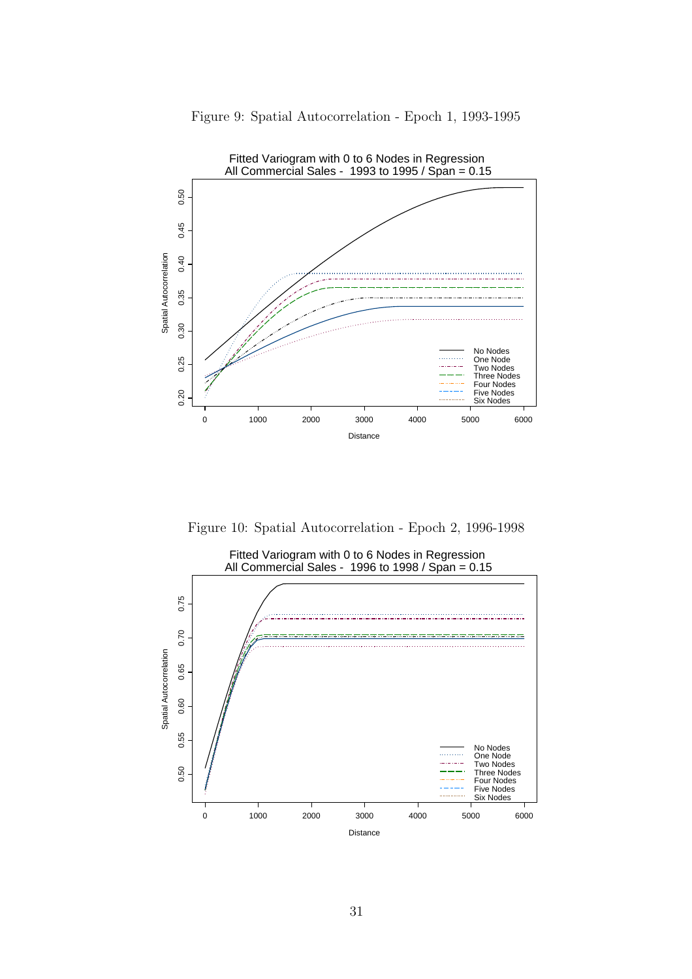

Figure 9: Spatial Autocorrelation - Epoch 1, 1993-1995

Figure 10: Spatial Autocorrelation - Epoch 2, 1996-1998